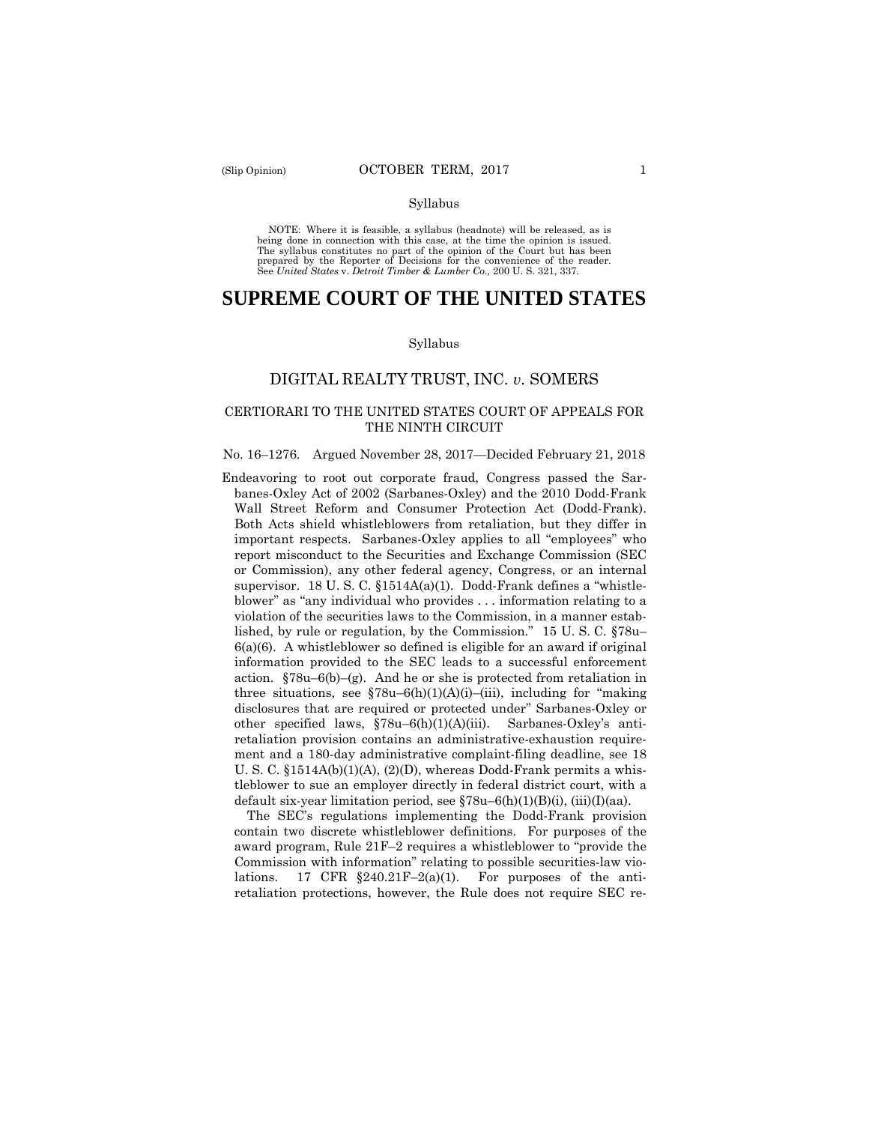NOTE: Where it is feasible, a syllabus (headnote) will be released, as is being done in connection with this case, at the time the opinion is issued. The syllabus constitutes no part of the opinion of the Court but has been<br>prepared by the Reporter of Decisions for the convenience of the reader.<br>See United States v. Detroit Timber & Lumber Co., 200 U. S. 321, 337.

# **SUPREME COURT OF THE UNITED STATES**

#### Syllabus

## DIGITAL REALTY TRUST, INC. *v*. SOMERS

### CERTIORARI TO THE UNITED STATES COURT OF APPEALS FOR THE NINTH CIRCUIT

#### No. 16–1276. Argued November 28, 2017—Decided February 21, 2018

Endeavoring to root out corporate fraud, Congress passed the Sarbanes-Oxley Act of 2002 (Sarbanes-Oxley) and the 2010 Dodd-Frank Wall Street Reform and Consumer Protection Act (Dodd-Frank). Both Acts shield whistleblowers from retaliation, but they differ in important respects. Sarbanes-Oxley applies to all "employees" who report misconduct to the Securities and Exchange Commission (SEC or Commission), any other federal agency, Congress, or an internal supervisor. 18 U. S. C. §1514A(a)(1). Dodd-Frank defines a "whistleblower" as "any individual who provides . . . information relating to a violation of the securities laws to the Commission, in a manner established, by rule or regulation, by the Commission." 15 U. S. C. §78u–  $6(a)(6)$ . A whistleblower so defined is eligible for an award if original information provided to the SEC leads to a successful enforcement action.  $$78u-6(b)-(g)$ . And he or she is protected from retaliation in three situations, see  $$78u-6(h)(1)(A)(i)-(iii)$ , including for "making" disclosures that are required or protected under" Sarbanes-Oxley or other specified laws, §78u–6(h)(1)(A)(iii). Sarbanes-Oxley's antiretaliation provision contains an administrative-exhaustion requirement and a 180-day administrative complaint-filing deadline, see 18 U. S. C.  $$1514A(b)(1)(A), (2)(D),$  whereas Dodd-Frank permits a whistleblower to sue an employer directly in federal district court, with a default six-year limitation period, see  $$78u-6(h)(1)(B)(i)$ , (iii)(I)(aa).

The SEC's regulations implementing the Dodd-Frank provision contain two discrete whistleblower definitions. For purposes of the award program, Rule 21F–2 requires a whistleblower to "provide the Commission with information" relating to possible securities-law violations. 17 CFR  $\S240.21F-2(a)(1)$ . For purposes of the antiretaliation protections, however, the Rule does not require SEC re-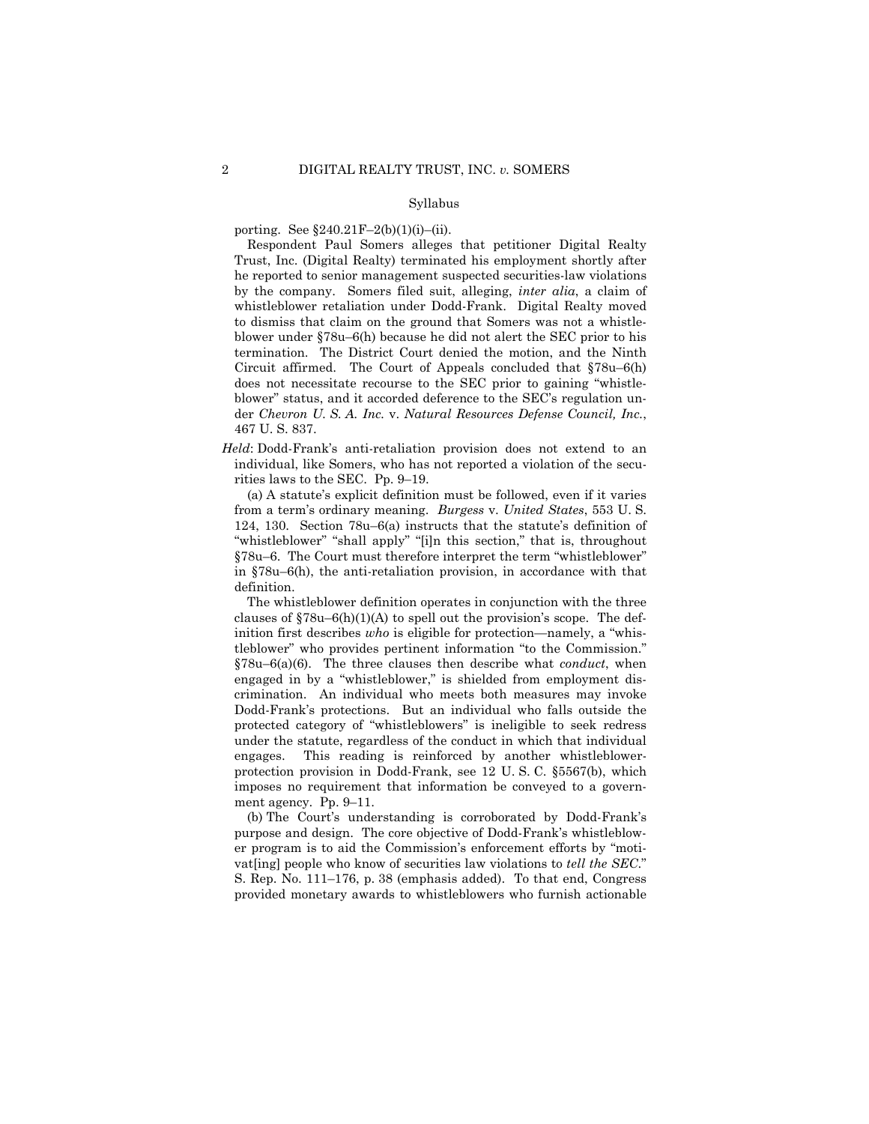porting. See  $\S 240.21F - 2(b)(1)(i) - (ii)$ .

 whistleblower retaliation under Dodd-Frank. Digital Realty moved  der *Chevron U. S. A. Inc.* v. *Natural Resources Defense Council, Inc.*, Respondent Paul Somers alleges that petitioner Digital Realty Trust, Inc. (Digital Realty) terminated his employment shortly after he reported to senior management suspected securities-law violations by the company. Somers filed suit, alleging, *inter alia*, a claim of to dismiss that claim on the ground that Somers was not a whistleblower under §78u–6(h) because he did not alert the SEC prior to his termination. The District Court denied the motion, and the Ninth Circuit affirmed. The Court of Appeals concluded that §78u–6(h) does not necessitate recourse to the SEC prior to gaining "whistleblower" status, and it accorded deference to the SEC's regulation un-467 U. S. 837.

*Held*: Dodd-Frank's anti-retaliation provision does not extend to an individual, like Somers, who has not reported a violation of the securities laws to the SEC. Pp. 9–19.

(a) A statute's explicit definition must be followed, even if it varies from a term's ordinary meaning. *Burgess* v. *United States*, 553 U. S. 124, 130. Section 78u–6(a) instructs that the statute's definition of "whistleblower" "shall apply" "[i]n this section," that is, throughout §78u–6. The Court must therefore interpret the term "whistleblower" in §78u–6(h), the anti-retaliation provision, in accordance with that definition.

 Dodd-Frank's protections. But an individual who falls outside the The whistleblower definition operates in conjunction with the three clauses of  $$78u-6(h)(1)(A)$  to spell out the provision's scope. The definition first describes *who* is eligible for protection—namely, a "whistleblower" who provides pertinent information "to the Commission." §78u–6(a)(6). The three clauses then describe what *conduct*, when engaged in by a "whistleblower," is shielded from employment discrimination. An individual who meets both measures may invoke protected category of "whistleblowers" is ineligible to seek redress under the statute, regardless of the conduct in which that individual engages. This reading is reinforced by another whistleblowerprotection provision in Dodd-Frank, see 12 U. S. C. §5567(b), which imposes no requirement that information be conveyed to a government agency. Pp. 9–11.

(b) The Court's understanding is corroborated by Dodd-Frank's purpose and design. The core objective of Dodd-Frank's whistleblower program is to aid the Commission's enforcement efforts by "motivat[ing] people who know of securities law violations to *tell the SEC*." S. Rep. No. 111–176, p. 38 (emphasis added). To that end, Congress provided monetary awards to whistleblowers who furnish actionable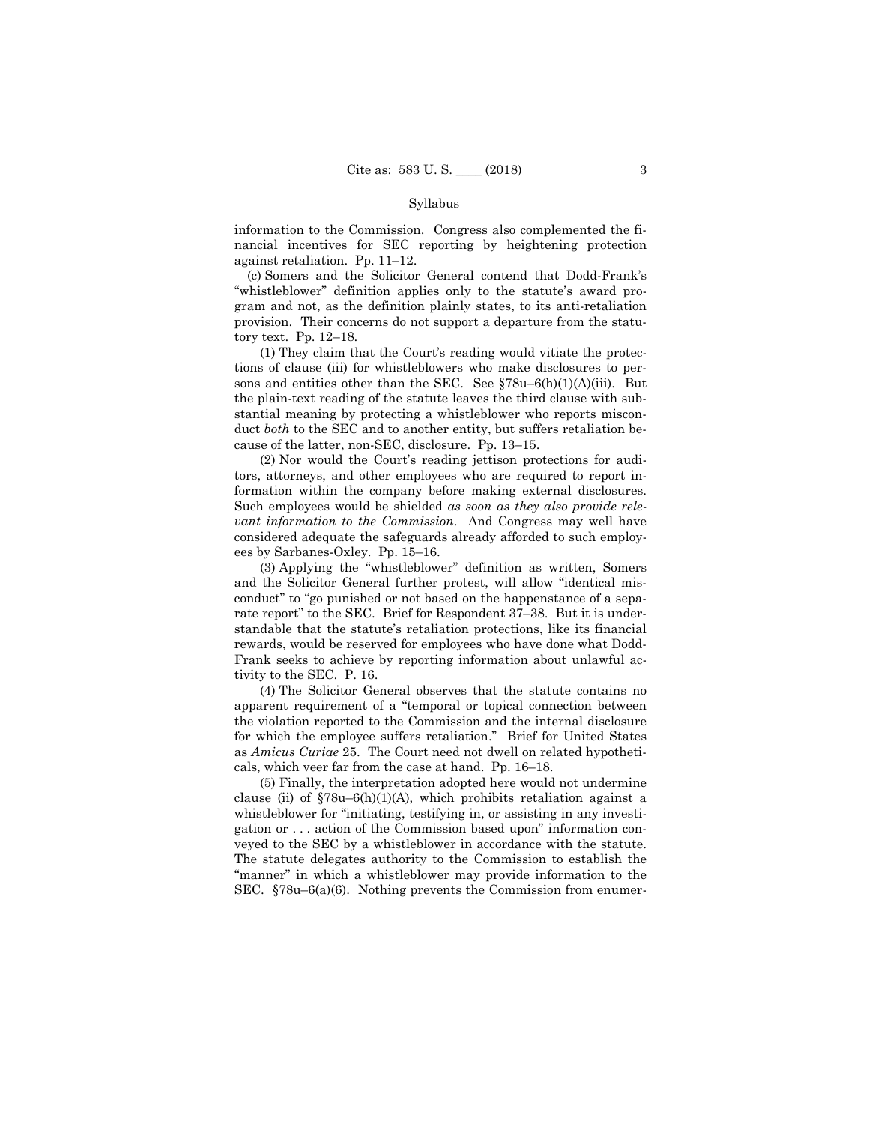information to the Commission. Congress also complemented the financial incentives for SEC reporting by heightening protection against retaliation. Pp. 11–12.

(c) Somers and the Solicitor General contend that Dodd-Frank's "whistleblower" definition applies only to the statute's award program and not, as the definition plainly states, to its anti-retaliation provision. Their concerns do not support a departure from the statutory text. Pp. 12–18.

(1) They claim that the Court's reading would vitiate the protections of clause (iii) for whistleblowers who make disclosures to persons and entities other than the SEC. See §78u–6(h)(1)(A)(iii). But the plain-text reading of the statute leaves the third clause with substantial meaning by protecting a whistleblower who reports misconduct *both* to the SEC and to another entity, but suffers retaliation because of the latter, non-SEC, disclosure. Pp. 13–15.

(2) Nor would the Court's reading jettison protections for auditors, attorneys, and other employees who are required to report information within the company before making external disclosures. Such employees would be shielded *as soon as they also provide relevant information to the Commission*. And Congress may well have considered adequate the safeguards already afforded to such employees by Sarbanes-Oxley. Pp. 15–16.

(3) Applying the "whistleblower" definition as written, Somers and the Solicitor General further protest, will allow "identical misconduct" to "go punished or not based on the happenstance of a separate report" to the SEC. Brief for Respondent 37–38. But it is understandable that the statute's retaliation protections, like its financial rewards, would be reserved for employees who have done what Dodd-Frank seeks to achieve by reporting information about unlawful activity to the SEC. P. 16.

(4) The Solicitor General observes that the statute contains no apparent requirement of a "temporal or topical connection between the violation reported to the Commission and the internal disclosure for which the employee suffers retaliation." Brief for United States as *Amicus Curiae* 25. The Court need not dwell on related hypotheticals, which veer far from the case at hand. Pp. 16–18.

 veyed to the SEC by a whistleblower in accordance with the statute. (5) Finally, the interpretation adopted here would not undermine clause (ii) of  $$78u-6(h)(1)(A)$ , which prohibits retaliation against a whistleblower for "initiating, testifying in, or assisting in any investigation or . . . action of the Commission based upon" information con-The statute delegates authority to the Commission to establish the "manner" in which a whistleblower may provide information to the SEC. §78u–6(a)(6). Nothing prevents the Commission from enumer-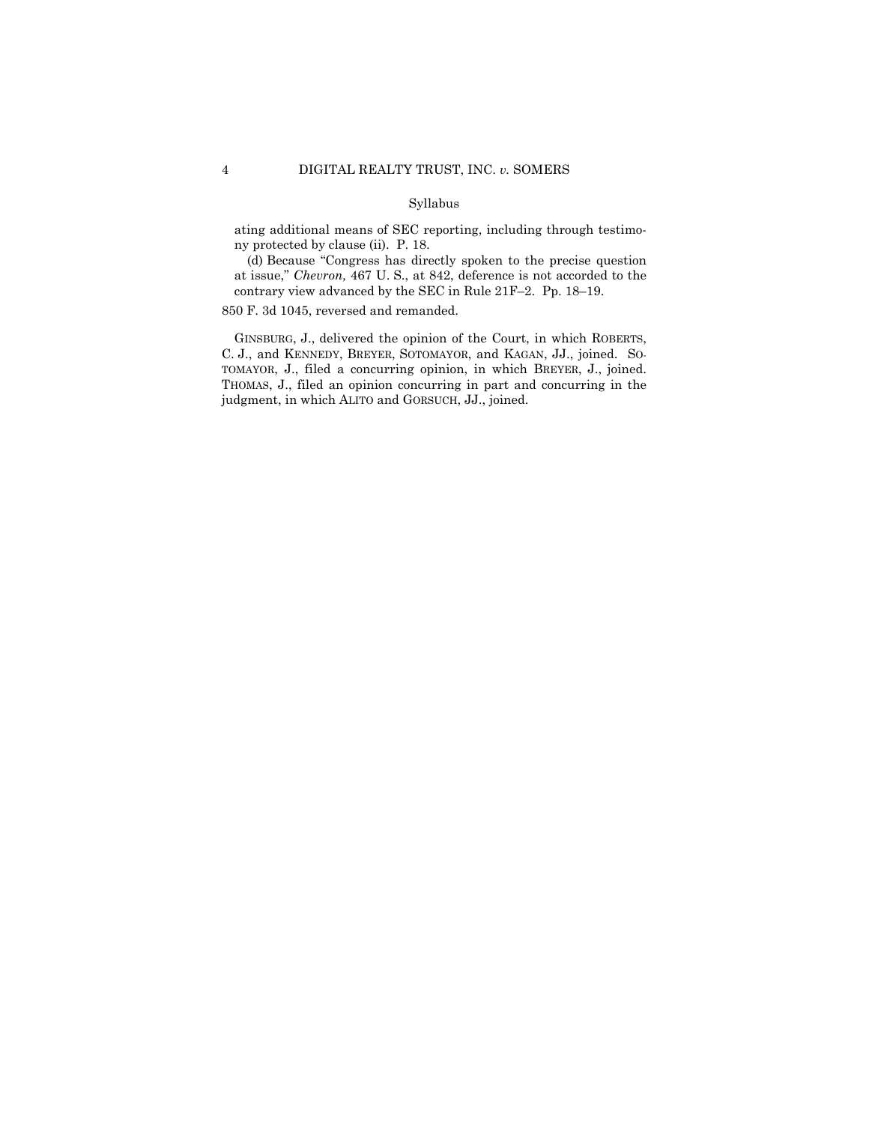ating additional means of SEC reporting, including through testimony protected by clause (ii). P. 18.

(d) Because "Congress has directly spoken to the precise question at issue," *Chevron,* 467 U. S., at 842, deference is not accorded to the contrary view advanced by the SEC in Rule 21F–2. Pp. 18–19.

850 F. 3d 1045, reversed and remanded.

 GINSBURG, J., delivered the opinion of the Court, in which ROBERTS, C. J., and KENNEDY, BREYER, SOTOMAYOR, and KAGAN, JJ., joined. SO- TOMAYOR, J., filed a concurring opinion, in which BREYER, J., joined. THOMAS, J., filed an opinion concurring in part and concurring in the judgment, in which ALITO and GORSUCH, JJ., joined.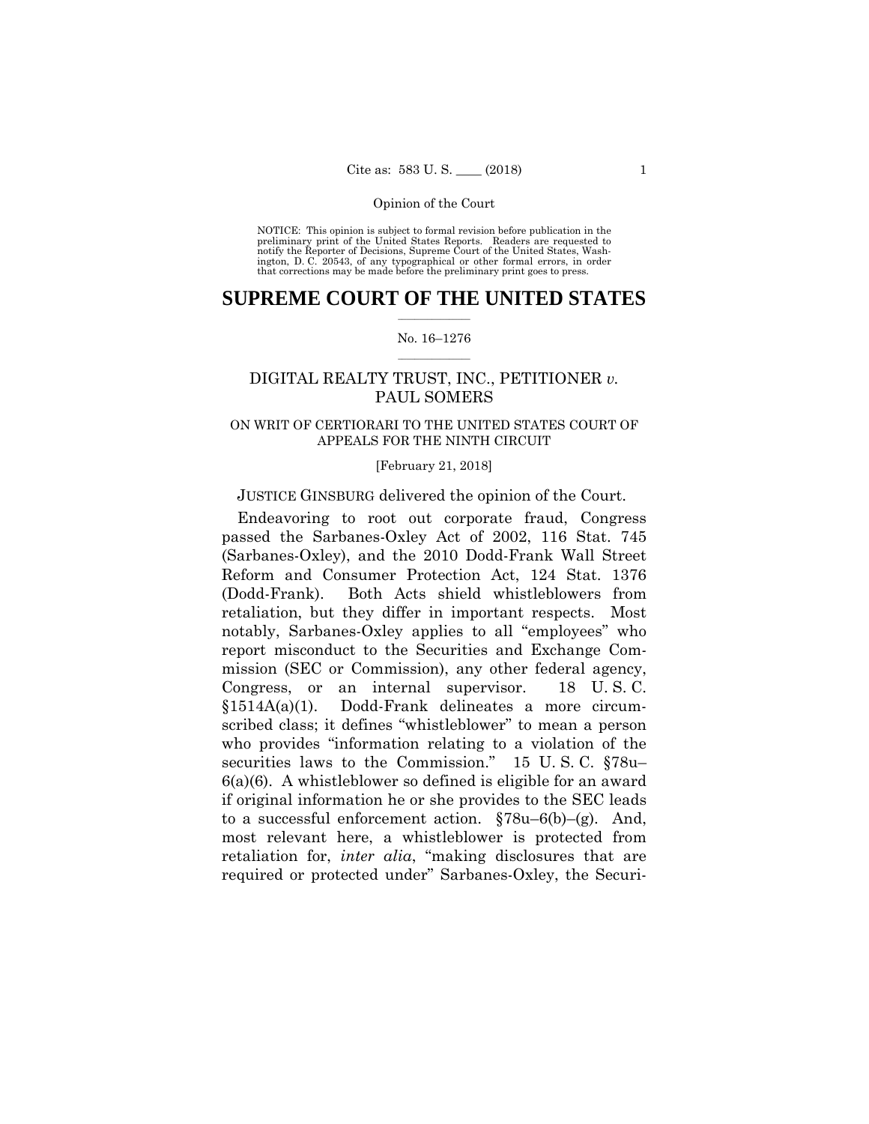preliminary print of the United States Reports. Readers are requested to notify the Reporter of Decisions, Supreme Court of the United States, Wash- ington, D. C. 20543, of any typographical or other formal errors, in order that corrections may be made before the preliminary print goes to press. NOTICE: This opinion is subject to formal revision before publication in the

### $\frac{1}{2}$  ,  $\frac{1}{2}$  ,  $\frac{1}{2}$  ,  $\frac{1}{2}$  ,  $\frac{1}{2}$  ,  $\frac{1}{2}$  ,  $\frac{1}{2}$ **SUPREME COURT OF THE UNITED STATES**

### $\frac{1}{2}$  ,  $\frac{1}{2}$  ,  $\frac{1}{2}$  ,  $\frac{1}{2}$  ,  $\frac{1}{2}$  ,  $\frac{1}{2}$ No. 16–1276

# DIGITAL REALTY TRUST, INC., PETITIONER *v.* PAUL SOMERS

### ON WRIT OF CERTIORARI TO THE UNITED STATES COURT OF APPEALS FOR THE NINTH CIRCUIT

### [February 21, 2018]

### JUSTICE GINSBURG delivered the opinion of the Court.

Endeavoring to root out corporate fraud, Congress passed the Sarbanes-Oxley Act of 2002, 116 Stat. 745 (Sarbanes-Oxley), and the 2010 Dodd-Frank Wall Street Reform and Consumer Protection Act, 124 Stat. 1376 (Dodd-Frank). Both Acts shield whistleblowers from retaliation, but they differ in important respects. Most notably, Sarbanes-Oxley applies to all "employees" who report misconduct to the Securities and Exchange Commission (SEC or Commission), any other federal agency, Congress, or an internal supervisor. 18 U. S. C. §1514A(a)(1). Dodd-Frank delineates a more circumscribed class; it defines "whistleblower" to mean a person who provides "information relating to a violation of the securities laws to the Commission." 15 U. S. C. §78u– 6(a)(6). A whistleblower so defined is eligible for an award if original information he or she provides to the SEC leads to a successful enforcement action. §78u–6(b)–(g). And, most relevant here, a whistleblower is protected from retaliation for, *inter alia*, "making disclosures that are required or protected under" Sarbanes-Oxley, the Securi-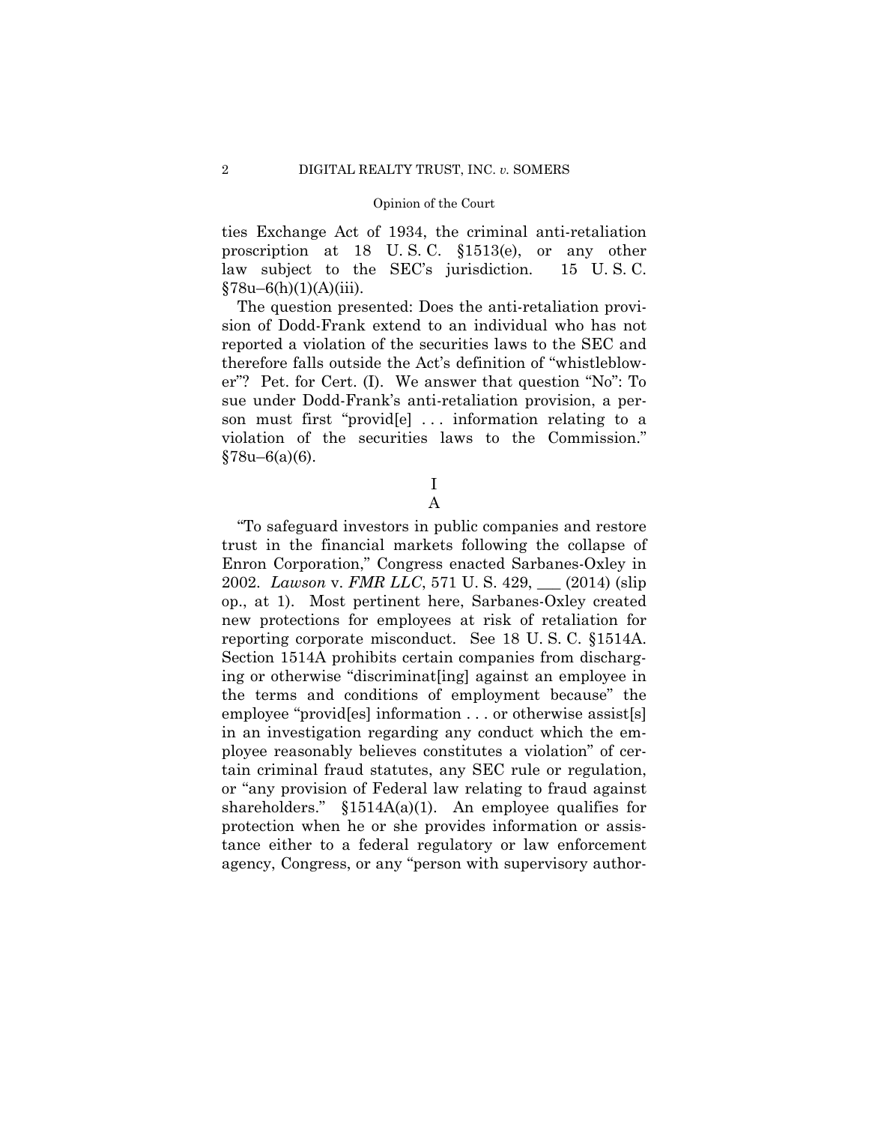ties Exchange Act of 1934, the criminal anti-retaliation proscription at 18 U. S. C. §1513(e), or any other law subject to the SEC's jurisdiction. 15 U. S. C.  $§78u-6(h)(1)(A)(iii)$ .

The question presented: Does the anti-retaliation provision of Dodd-Frank extend to an individual who has not reported a violation of the securities laws to the SEC and therefore falls outside the Act's definition of "whistleblower"? Pet. for Cert. (I). We answer that question "No": To sue under Dodd-Frank's anti-retaliation provision, a person must first "provid[e] . . . information relating to a violation of the securities laws to the Commission." §78u–6(a)(6).

# I A

"To safeguard investors in public companies and restore trust in the financial markets following the collapse of Enron Corporation," Congress enacted Sarbanes-Oxley in 2002. *Lawson* v. *FMR LLC*, 571 U. S. 429, \_\_\_ (2014) (slip op., at 1). Most pertinent here, Sarbanes-Oxley created new protections for employees at risk of retaliation for reporting corporate misconduct. See 18 U. S. C. §1514A. Section 1514A prohibits certain companies from discharging or otherwise "discriminat[ing] against an employee in the terms and conditions of employment because" the employee "provid[es] information . . . or otherwise assist[s] in an investigation regarding any conduct which the employee reasonably believes constitutes a violation" of certain criminal fraud statutes, any SEC rule or regulation, or "any provision of Federal law relating to fraud against shareholders."  $$1514A(a)(1)$ . An employee qualifies for protection when he or she provides information or assistance either to a federal regulatory or law enforcement agency, Congress, or any "person with supervisory author-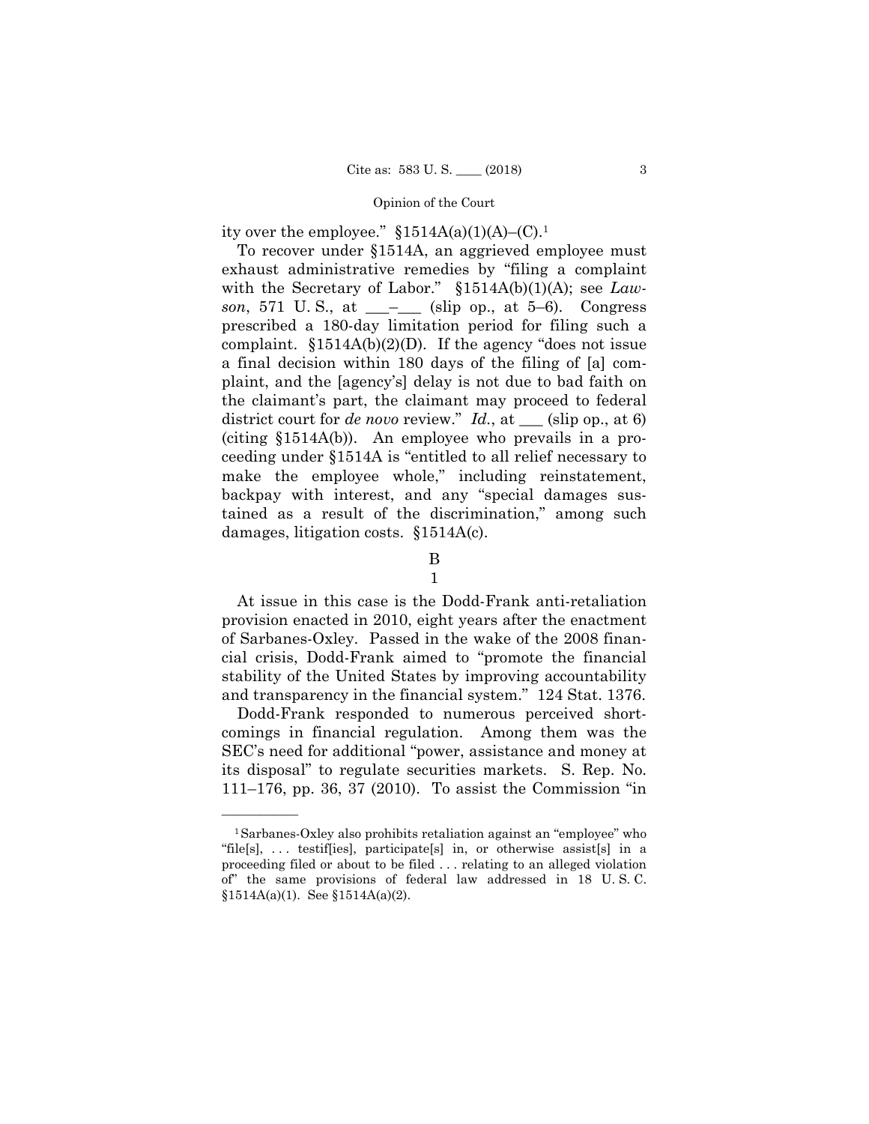ity over the employee."  $$1514A(a)(1)(A)–(C).<sup>1</sup>$ 

To recover under §1514A, an aggrieved employee must exhaust administrative remedies by "filing a complaint with the Secretary of Labor." §1514A(b)(1)(A); see *Lawson*, 571 U.S., at  $\_\_$ – $\_\_$  (slip op., at 5–6). Congress prescribed a 180-day limitation period for filing such a complaint.  $$1514A(b)(2)(D)$ . If the agency "does not issue a final decision within 180 days of the filing of [a] complaint, and the [agency's] delay is not due to bad faith on the claimant's part, the claimant may proceed to federal district court for *de novo* review." *Id.*, at \_\_\_ (slip op., at 6) (citing §1514A(b)). An employee who prevails in a proceeding under §1514A is "entitled to all relief necessary to make the employee whole," including reinstatement, backpay with interest, and any "special damages sustained as a result of the discrimination," among such damages, litigation costs. §1514A(c).

# B

1

At issue in this case is the Dodd-Frank anti-retaliation provision enacted in 2010, eight years after the enactment of Sarbanes-Oxley. Passed in the wake of the 2008 financial crisis, Dodd-Frank aimed to "promote the financial stability of the United States by improving accountability and transparency in the financial system." 124 Stat. 1376.

Dodd-Frank responded to numerous perceived shortcomings in financial regulation. Among them was the SEC's need for additional "power, assistance and money at its disposal" to regulate securities markets. S. Rep. No. 111–176, pp. 36, 37 (2010). To assist the Commission "in

<sup>1</sup>Sarbanes-Oxley also prohibits retaliation against an "employee" who "file[s], . . . testif[ies], participate[s] in, or otherwise assist[s] in a proceeding filed or about to be filed . . . relating to an alleged violation of" the same provisions of federal law addressed in 18 U. S. C.  $$1514A(a)(1)$ . See  $$1514A(a)(2)$ .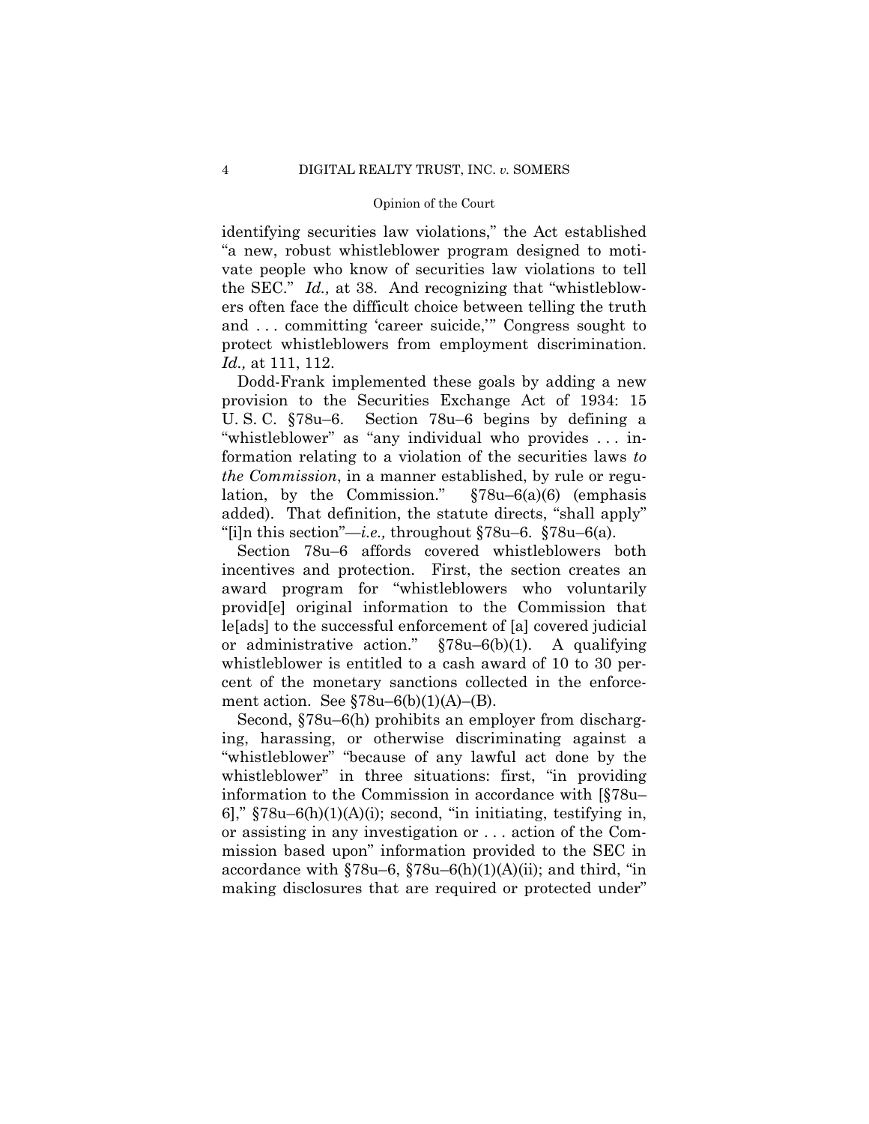identifying securities law violations," the Act established "a new, robust whistleblower program designed to motivate people who know of securities law violations to tell the SEC." *Id.,* at 38. And recognizing that "whistleblowers often face the difficult choice between telling the truth and . . . committing 'career suicide,'" Congress sought to protect whistleblowers from employment discrimination. *Id.,* at 111, 112.

Dodd-Frank implemented these goals by adding a new provision to the Securities Exchange Act of 1934: 15 U. S. C. §78u–6. Section 78u–6 begins by defining a "whistleblower" as "any individual who provides . . . information relating to a violation of the securities laws *to the Commission*, in a manner established, by rule or regulation, by the Commission." §78u–6(a)(6) (emphasis added). That definition, the statute directs, "shall apply" "[i]n this section"—*i.e.,* throughout §78u–6. §78u–6(a).

Section 78u–6 affords covered whistleblowers both incentives and protection. First, the section creates an award program for "whistleblowers who voluntarily provid[e] original information to the Commission that le[ads] to the successful enforcement of [a] covered judicial or administrative action."  $\S 78u-6(b)(1)$ . A qualifying whistleblower is entitled to a cash award of 10 to 30 percent of the monetary sanctions collected in the enforcement action. See  $$78u-6(b)(1)(A)- (B)$ .

Second, §78u–6(h) prohibits an employer from discharging, harassing, or otherwise discriminating against a "whistleblower" "because of any lawful act done by the whistleblower" in three situations: first, "in providing" information to the Commission in accordance with [§78u– 6],"  $$78u-6(h)(1)(A)(i)$ ; second, "in initiating, testifying in, or assisting in any investigation or . . . action of the Commission based upon" information provided to the SEC in accordance with  $$78u-6, $78u-6(h)(1)(A)(ii)$ ; and third, "in making disclosures that are required or protected under"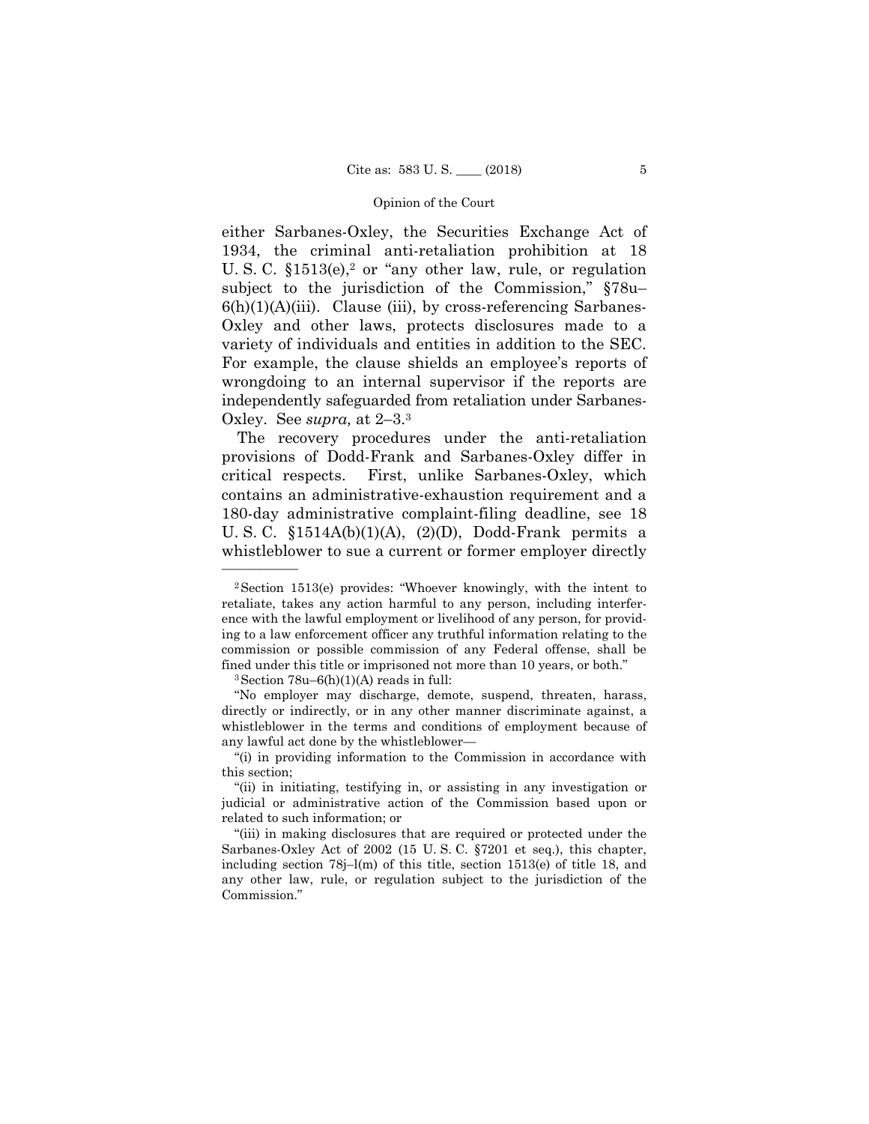either Sarbanes-Oxley, the Securities Exchange Act of 1934, the criminal anti-retaliation prohibition at 18 U. S. C.  $$1513(e),^2$  or "any other law, rule, or regulation subject to the jurisdiction of the Commission," §78u–  $6(h)(1)(A)(iii)$ . Clause (iii), by cross-referencing Sarbanes-Oxley and other laws, protects disclosures made to a variety of individuals and entities in addition to the SEC. For example, the clause shields an employee's reports of wrongdoing to an internal supervisor if the reports are independently safeguarded from retaliation under Sarbanes-Oxley. See *supra,* at 2–3.3

The recovery procedures under the anti-retaliation provisions of Dodd-Frank and Sarbanes-Oxley differ in critical respects. First, unlike Sarbanes-Oxley, which contains an administrative-exhaustion requirement and a 180-day administrative complaint-filing deadline, see 18 U. S. C.  $$1514A(b)(1)(A), (2)(D), Dodd-Frank permits a$ whistleblower to sue a current or former employer directly

 $3$  Section 78u–6(h)(1)(A) reads in full:

——————

"No employer may discharge, demote, suspend, threaten, harass, directly or indirectly, or in any other manner discriminate against, a whistleblower in the terms and conditions of employment because of any lawful act done by the whistleblower—

<sup>2</sup>Section 1513(e) provides: "Whoever knowingly, with the intent to retaliate, takes any action harmful to any person, including interference with the lawful employment or livelihood of any person, for providing to a law enforcement officer any truthful information relating to the commission or possible commission of any Federal offense, shall be fined under this title or imprisoned not more than 10 years, or both."

<sup>&</sup>quot;(i) in providing information to the Commission in accordance with this section;

<sup>&</sup>quot;(ii) in initiating, testifying in, or assisting in any investigation or judicial or administrative action of the Commission based upon or related to such information; or

<sup>&</sup>quot;(iii) in making disclosures that are required or protected under the Sarbanes-Oxley Act of 2002 (15 U. S. C. §7201 et seq.), this chapter, including section 78j–l(m) of this title, section 1513(e) of title 18, and any other law, rule, or regulation subject to the jurisdiction of the Commission."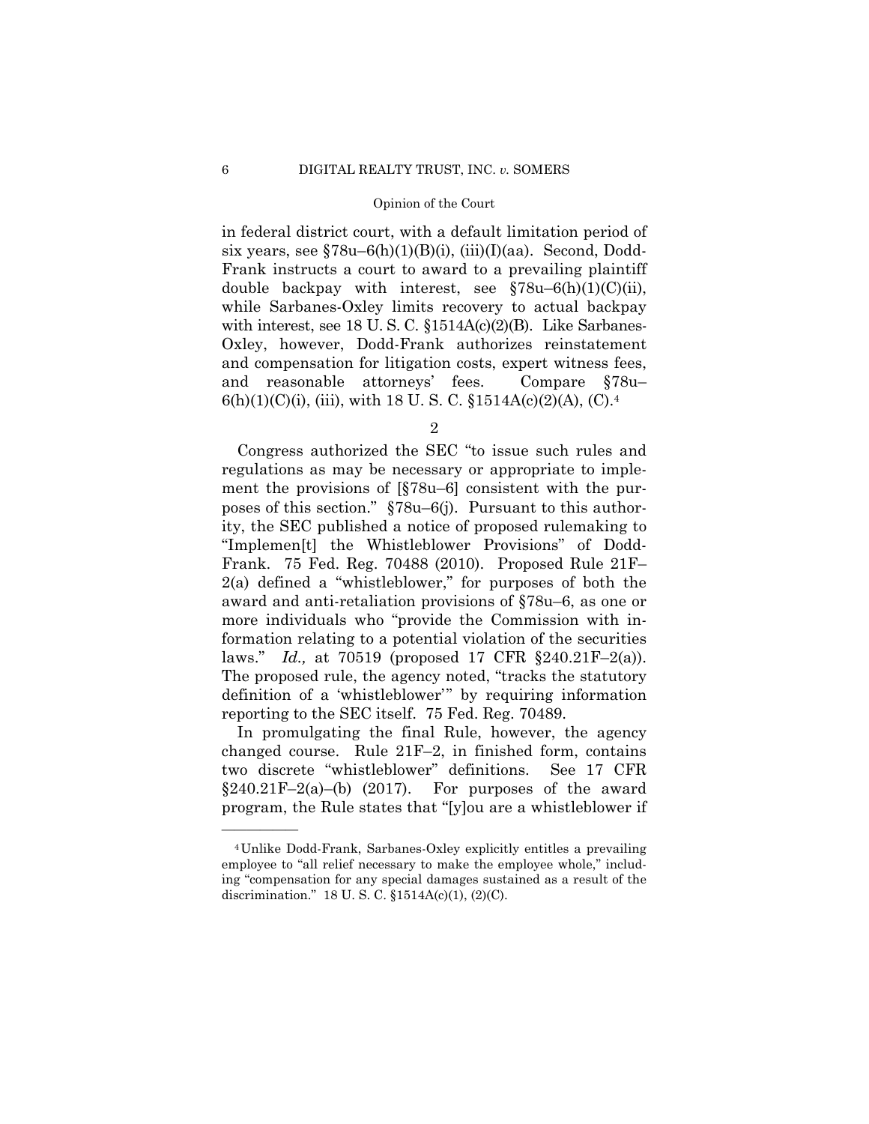in federal district court, with a default limitation period of six years, see  $$78u-6(h)(1)(B)(i)$ , (iii)(I)(aa). Second, Dodd-Frank instructs a court to award to a prevailing plaintiff double backpay with interest, see  $$78u-6(h)(1)(C(ii))$ , while Sarbanes-Oxley limits recovery to actual backpay with interest, see 18 U.S.C. §1514A(c)(2)(B). Like Sarbanes-Oxley, however, Dodd-Frank authorizes reinstatement and compensation for litigation costs, expert witness fees, and reasonable attorneys' fees. Compare §78u–  $6(h)(1)(C)(i)$ , (iii), with 18 U. S. C.  $$1514A(c)(2)(A)$ , (C).<sup>4</sup>

2

Congress authorized the SEC "to issue such rules and regulations as may be necessary or appropriate to implement the provisions of [§78u–6] consistent with the purposes of this section." §78u–6(j). Pursuant to this authority, the SEC published a notice of proposed rulemaking to "Implemen[t] the Whistleblower Provisions" of Dodd-Frank. 75 Fed. Reg. 70488 (2010). Proposed Rule 21F– 2(a) defined a "whistleblower," for purposes of both the award and anti-retaliation provisions of §78u–6, as one or more individuals who "provide the Commission with information relating to a potential violation of the securities laws." *Id.,* at 70519 (proposed 17 CFR §240.21F–2(a)). The proposed rule, the agency noted, "tracks the statutory definition of a 'whistleblower'" by requiring information reporting to the SEC itself. 75 Fed. Reg. 70489.

In promulgating the final Rule, however, the agency changed course. Rule 21F–2, in finished form, contains two discrete "whistleblower" definitions. See 17 CFR  $§240.21F-2(a)$ –(b) (2017). For purposes of the award program, the Rule states that "[y]ou are a whistleblower if

<sup>4</sup>Unlike Dodd-Frank, Sarbanes-Oxley explicitly entitles a prevailing employee to "all relief necessary to make the employee whole," including "compensation for any special damages sustained as a result of the discrimination." 18 U. S. C. §1514A(c)(1), (2)(C).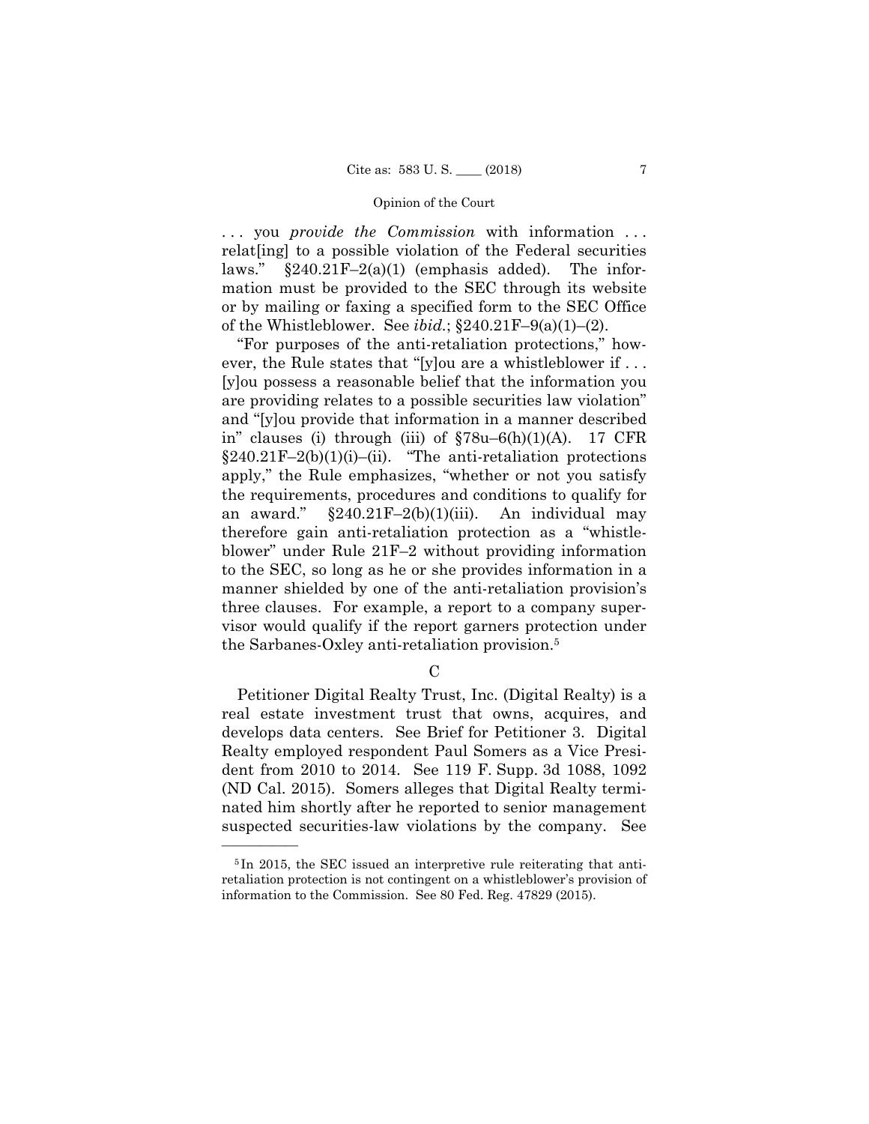. . . you *provide the Commission* with information . . . relat[ing] to a possible violation of the Federal securities laws."  $\S 240.21 \text{F} - 2(a)(1)$  (emphasis added). The information must be provided to the SEC through its website or by mailing or faxing a specified form to the SEC Office of the Whistleblower. See *ibid.*; §240.21F–9(a)(1)–(2).

"For purposes of the anti-retaliation protections," however, the Rule states that "[y]ou are a whistleblower if . . . [y]ou possess a reasonable belief that the information you are providing relates to a possible securities law violation" and "[y]ou provide that information in a manner described in" clauses (i) through (iii) of  $\S78u-6(h)(1)(A)$ . 17 CFR  $§240.21F-2(b)(1)(i)–(ii)$ . "The anti-retaliation protections apply," the Rule emphasizes, "whether or not you satisfy the requirements, procedures and conditions to qualify for an award."  $\S240.21F-2(b)(1)(iii)$ . An individual may therefore gain anti-retaliation protection as a "whistleblower" under Rule 21F–2 without providing information to the SEC, so long as he or she provides information in a manner shielded by one of the anti-retaliation provision's three clauses. For example, a report to a company supervisor would qualify if the report garners protection under the Sarbanes-Oxley anti-retaliation provision.5

 $\mathcal{C}$ 

Petitioner Digital Realty Trust, Inc. (Digital Realty) is a real estate investment trust that owns, acquires, and develops data centers. See Brief for Petitioner 3. Digital Realty employed respondent Paul Somers as a Vice President from 2010 to 2014. See 119 F. Supp. 3d 1088, 1092 (ND Cal. 2015). Somers alleges that Digital Realty terminated him shortly after he reported to senior management suspected securities-law violations by the company. See

<sup>5</sup> In 2015, the SEC issued an interpretive rule reiterating that antiretaliation protection is not contingent on a whistleblower's provision of information to the Commission. See 80 Fed. Reg. 47829 (2015).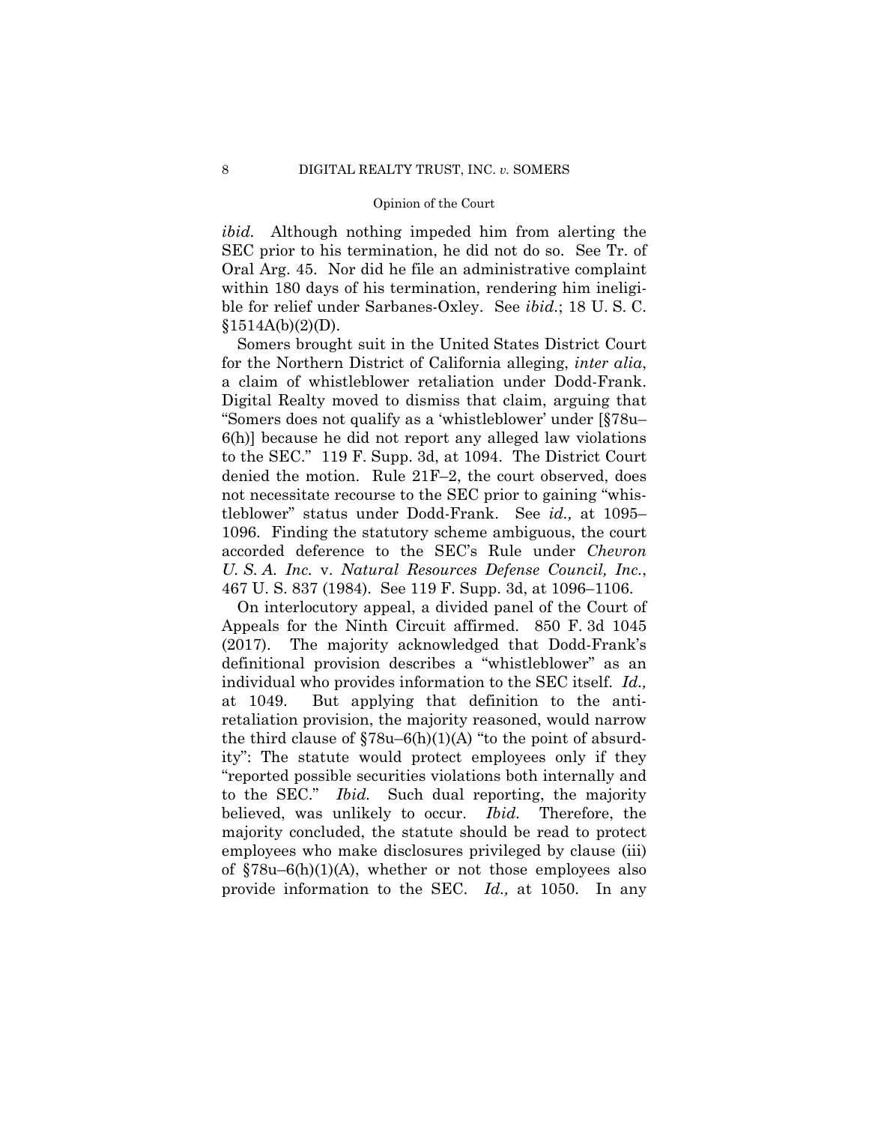*ibid.* Although nothing impeded him from alerting the SEC prior to his termination, he did not do so. See Tr. of Oral Arg. 45. Nor did he file an administrative complaint within 180 days of his termination, rendering him ineligible for relief under Sarbanes-Oxley. See *ibid.*; 18 U. S. C.  $§1514A(b)(2)(D).$ 

Somers brought suit in the United States District Court for the Northern District of California alleging, *inter alia*, a claim of whistleblower retaliation under Dodd-Frank. Digital Realty moved to dismiss that claim, arguing that "Somers does not qualify as a 'whistleblower' under [§78u– 6(h)] because he did not report any alleged law violations to the SEC." 119 F. Supp. 3d, at 1094. The District Court denied the motion. Rule 21F–2, the court observed, does not necessitate recourse to the SEC prior to gaining "whistleblower" status under Dodd-Frank. See *id.,* at 1095– 1096. Finding the statutory scheme ambiguous, the court accorded deference to the SEC's Rule under *Chevron U. S. A. Inc.* v. *Natural Resources Defense Council, Inc.*, 467 U. S. 837 (1984). See 119 F. Supp. 3d, at 1096–1106.

 to the SEC." *Ibid.* Such dual reporting, the majority On interlocutory appeal, a divided panel of the Court of Appeals for the Ninth Circuit affirmed. 850 F. 3d 1045 (2017). The majority acknowledged that Dodd-Frank's definitional provision describes a "whistleblower" as an individual who provides information to the SEC itself. *Id.,*  at 1049. But applying that definition to the antiretaliation provision, the majority reasoned, would narrow the third clause of  $$78u-6(h)(1)(A)$  "to the point of absurdity": The statute would protect employees only if they "reported possible securities violations both internally and believed, was unlikely to occur. *Ibid.* Therefore, the majority concluded, the statute should be read to protect employees who make disclosures privileged by clause (iii) of  $$78u-6(h)(1)(A)$ , whether or not those employees also provide information to the SEC. *Id.,* at 1050. In any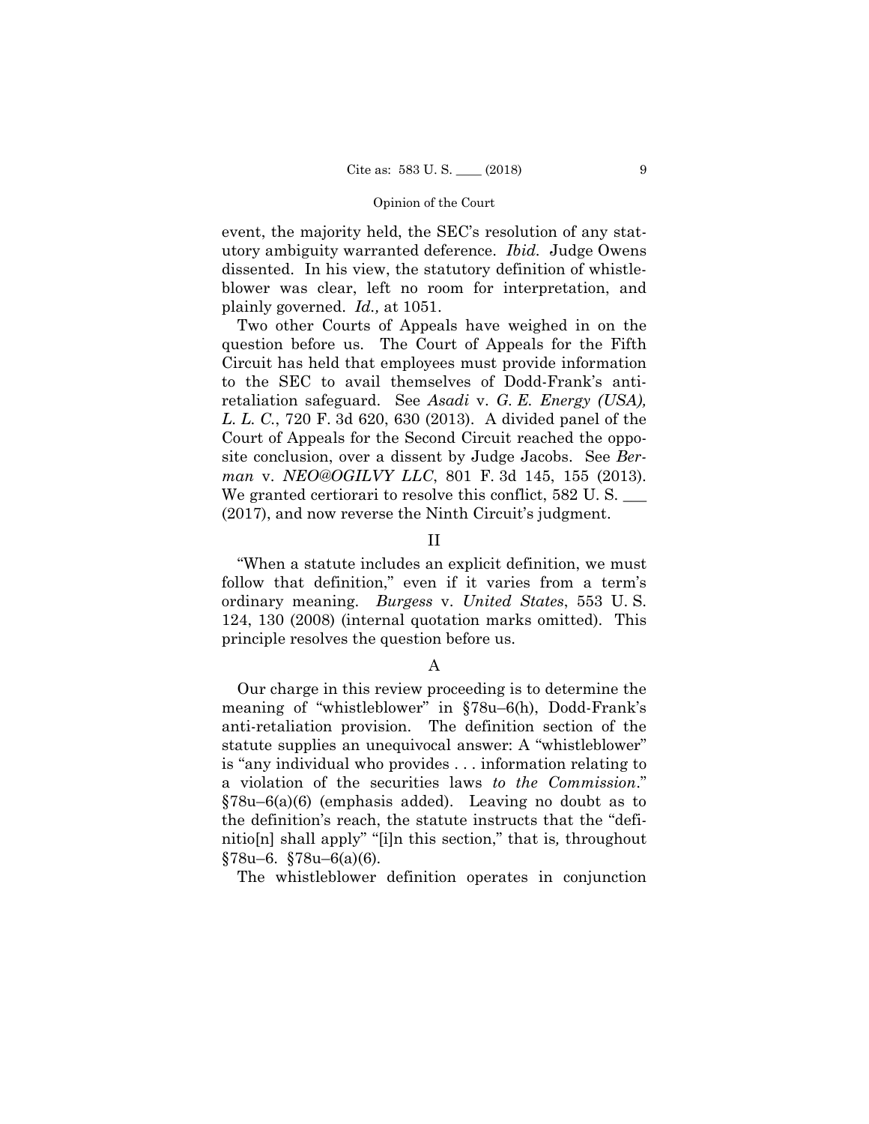utory ambiguity warranted deference. *Ibid.* Judge Owens event, the majority held, the SEC's resolution of any statdissented. In his view, the statutory definition of whistleblower was clear, left no room for interpretation, and plainly governed. *Id.,* at 1051.

Two other Courts of Appeals have weighed in on the question before us. The Court of Appeals for the Fifth Circuit has held that employees must provide information to the SEC to avail themselves of Dodd-Frank's antiretaliation safeguard. See *Asadi* v. *G. E. Energy (USA), L. L. C.*, 720 F. 3d 620, 630 (2013). A divided panel of the Court of Appeals for the Second Circuit reached the opposite conclusion, over a dissent by Judge Jacobs. See *Berman* v. *NEO@OGILVY LLC*, 801 F. 3d 145, 155 (2013). We granted certiorari to resolve this conflict, 582 U.S. (2017), and now reverse the Ninth Circuit's judgment.

### II

"When a statute includes an explicit definition, we must follow that definition," even if it varies from a term's ordinary meaning. *Burgess* v. *United States*, 553 U. S. 124, 130 (2008) (internal quotation marks omitted). This principle resolves the question before us.

### A

Our charge in this review proceeding is to determine the meaning of "whistleblower" in §78u–6(h), Dodd-Frank's anti-retaliation provision. The definition section of the statute supplies an unequivocal answer: A "whistleblower" is "any individual who provides . . . information relating to a violation of the securities laws *to the Commission*." §78u–6(a)(6) (emphasis added). Leaving no doubt as to the definition's reach, the statute instructs that the "definitio[n] shall apply" "[i]n this section," that is*,* throughout §78u–6. §78u–6(a)(6)*.* 

The whistleblower definition operates in conjunction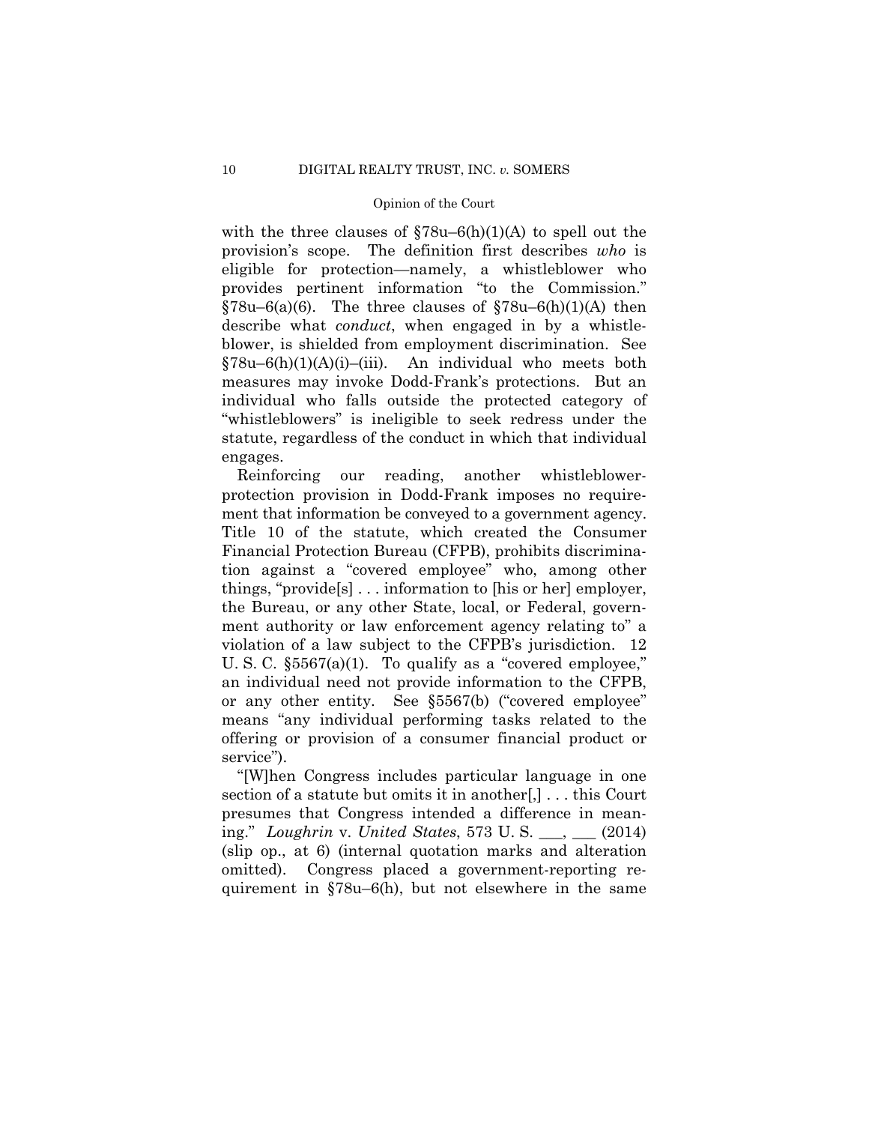with the three clauses of  $$78u-6(h)(1)(A)$  to spell out the provision's scope. The definition first describes *who* is eligible for protection—namely, a whistleblower who provides pertinent information "to the Commission."  $\S78u-6(a)(6)$ . The three clauses of  $\S78u-6(h)(1)(A)$  then describe what *conduct*, when engaged in by a whistleblower, is shielded from employment discrimination. See §78u–6(h)(1)(A)(i)–(iii). An individual who meets both measures may invoke Dodd-Frank's protections. But an individual who falls outside the protected category of "whistleblowers" is ineligible to seek redress under the statute, regardless of the conduct in which that individual engages.

Reinforcing our reading, another whistleblowerprotection provision in Dodd-Frank imposes no requirement that information be conveyed to a government agency. Title 10 of the statute, which created the Consumer Financial Protection Bureau (CFPB), prohibits discrimination against a "covered employee" who, among other things, "provide[s] . . . information to [his or her] employer, the Bureau, or any other State, local, or Federal, government authority or law enforcement agency relating to" a violation of a law subject to the CFPB's jurisdiction. 12 U. S. C. §5567(a)(1). To qualify as a "covered employee," an individual need not provide information to the CFPB, or any other entity. See §5567(b) ("covered employee" means "any individual performing tasks related to the offering or provision of a consumer financial product or service").

"[W]hen Congress includes particular language in one section of a statute but omits it in another[,] . . . this Court presumes that Congress intended a difference in meaning." *Loughrin* v. *United States*, 573 U. S. \_\_\_, \_\_\_ (2014) (slip op., at 6) (internal quotation marks and alteration omitted). Congress placed a government-reporting requirement in §78u–6(h), but not elsewhere in the same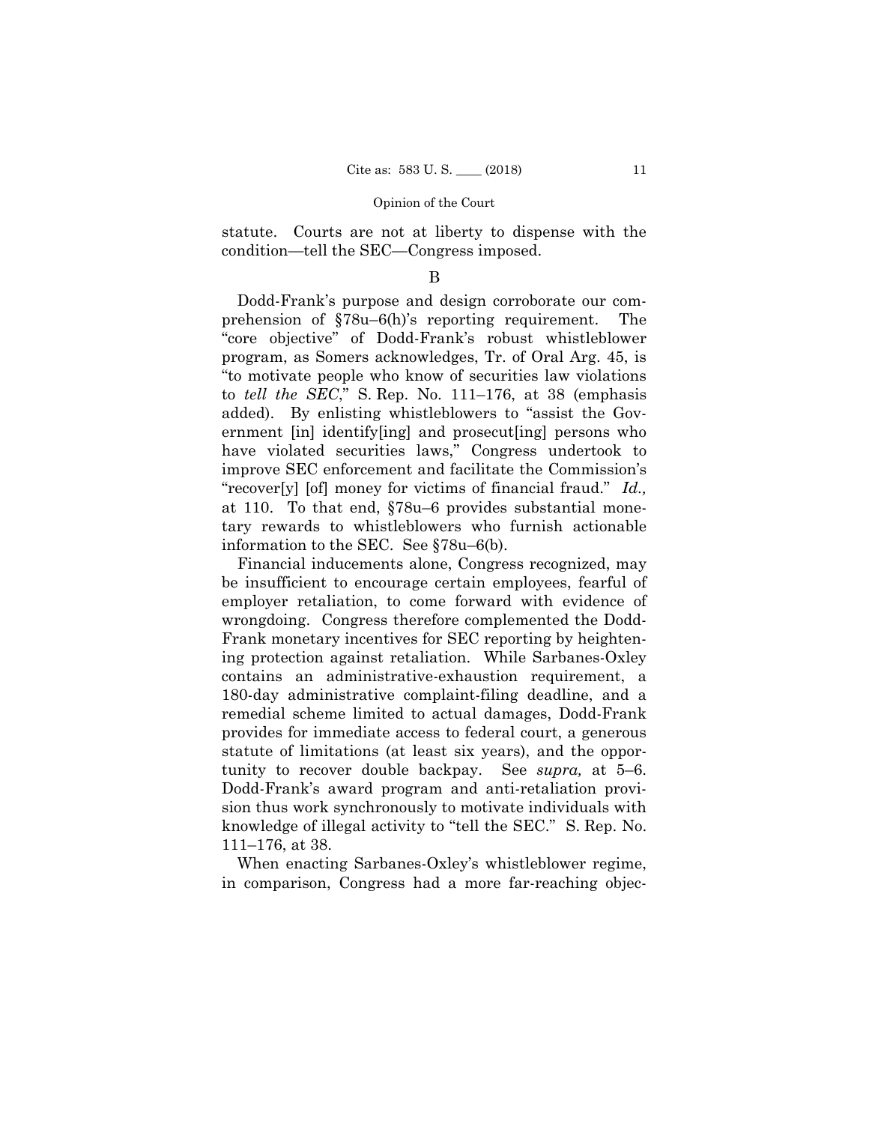statute. Courts are not at liberty to dispense with the condition—tell the SEC—Congress imposed.

## B

Dodd-Frank's purpose and design corroborate our comprehension of §78u–6(h)'s reporting requirement. The "core objective" of Dodd-Frank's robust whistleblower program, as Somers acknowledges, Tr. of Oral Arg. 45, is "to motivate people who know of securities law violations to *tell the SEC*," S. Rep. No. 111–176, at 38 (emphasis added). By enlisting whistleblowers to "assist the Government [in] identify[ing] and prosecut[ing] persons who have violated securities laws," Congress undertook to improve SEC enforcement and facilitate the Commission's "recover[y] [of] money for victims of financial fraud." *Id.,*  at 110. To that end, §78u–6 provides substantial monetary rewards to whistleblowers who furnish actionable information to the SEC. See §78u–6(b).

Financial inducements alone, Congress recognized, may be insufficient to encourage certain employees, fearful of employer retaliation, to come forward with evidence of wrongdoing. Congress therefore complemented the Dodd-Frank monetary incentives for SEC reporting by heightening protection against retaliation. While Sarbanes-Oxley contains an administrative-exhaustion requirement, a 180-day administrative complaint-filing deadline, and a remedial scheme limited to actual damages, Dodd-Frank provides for immediate access to federal court, a generous statute of limitations (at least six years), and the opportunity to recover double backpay. See *supra,* at 5–6. Dodd-Frank's award program and anti-retaliation provision thus work synchronously to motivate individuals with knowledge of illegal activity to "tell the SEC." S. Rep. No. 111–176, at 38.

When enacting Sarbanes-Oxley's whistleblower regime, in comparison, Congress had a more far-reaching objec-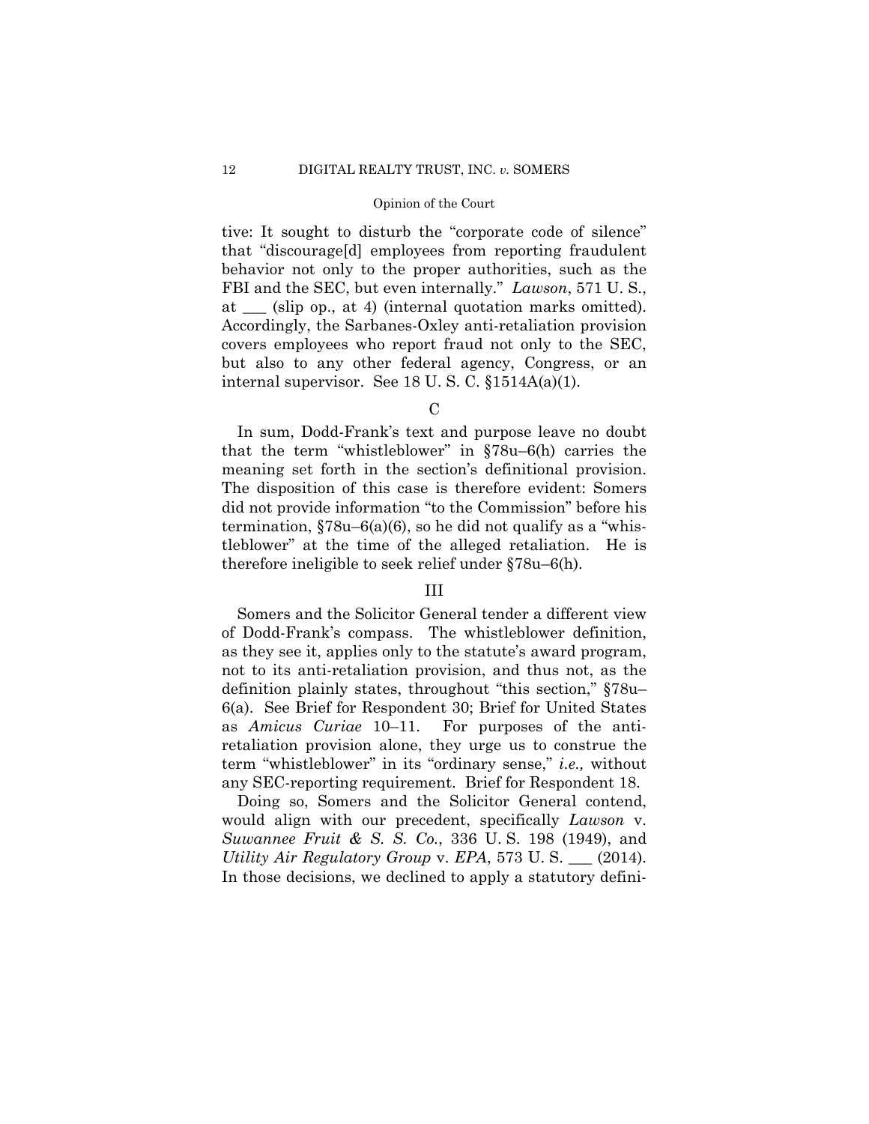tive: It sought to disturb the "corporate code of silence" that "discourage[d] employees from reporting fraudulent behavior not only to the proper authorities, such as the FBI and the SEC, but even internally." *Lawson*, 571 U. S., at \_\_\_ (slip op., at 4) (internal quotation marks omitted). Accordingly, the Sarbanes-Oxley anti-retaliation provision covers employees who report fraud not only to the SEC, but also to any other federal agency, Congress, or an internal supervisor. See 18 U. S. C. §1514A(a)(1).

 $\mathcal{C}$ 

In sum, Dodd-Frank's text and purpose leave no doubt that the term "whistleblower" in §78u–6(h) carries the meaning set forth in the section's definitional provision. The disposition of this case is therefore evident: Somers did not provide information "to the Commission" before his termination,  $$78u-6(a)(6)$ , so he did not qualify as a "whistleblower" at the time of the alleged retaliation. He is therefore ineligible to seek relief under §78u–6(h).

### III

Somers and the Solicitor General tender a different view of Dodd-Frank's compass. The whistleblower definition, as they see it, applies only to the statute's award program, not to its anti-retaliation provision, and thus not, as the definition plainly states, throughout "this section," §78u– 6(a). See Brief for Respondent 30; Brief for United States as *Amicus Curiae* 10–11. For purposes of the antiretaliation provision alone, they urge us to construe the term "whistleblower" in its "ordinary sense," *i.e.,* without any SEC-reporting requirement. Brief for Respondent 18.

Doing so, Somers and the Solicitor General contend, would align with our precedent, specifically *Lawson* v. *Suwannee Fruit & S. S. Co.*, 336 U. S. 198 (1949), and *Utility Air Regulatory Group* v. *EPA*, 573 U. S. \_\_\_ (2014). In those decisions, we declined to apply a statutory defini-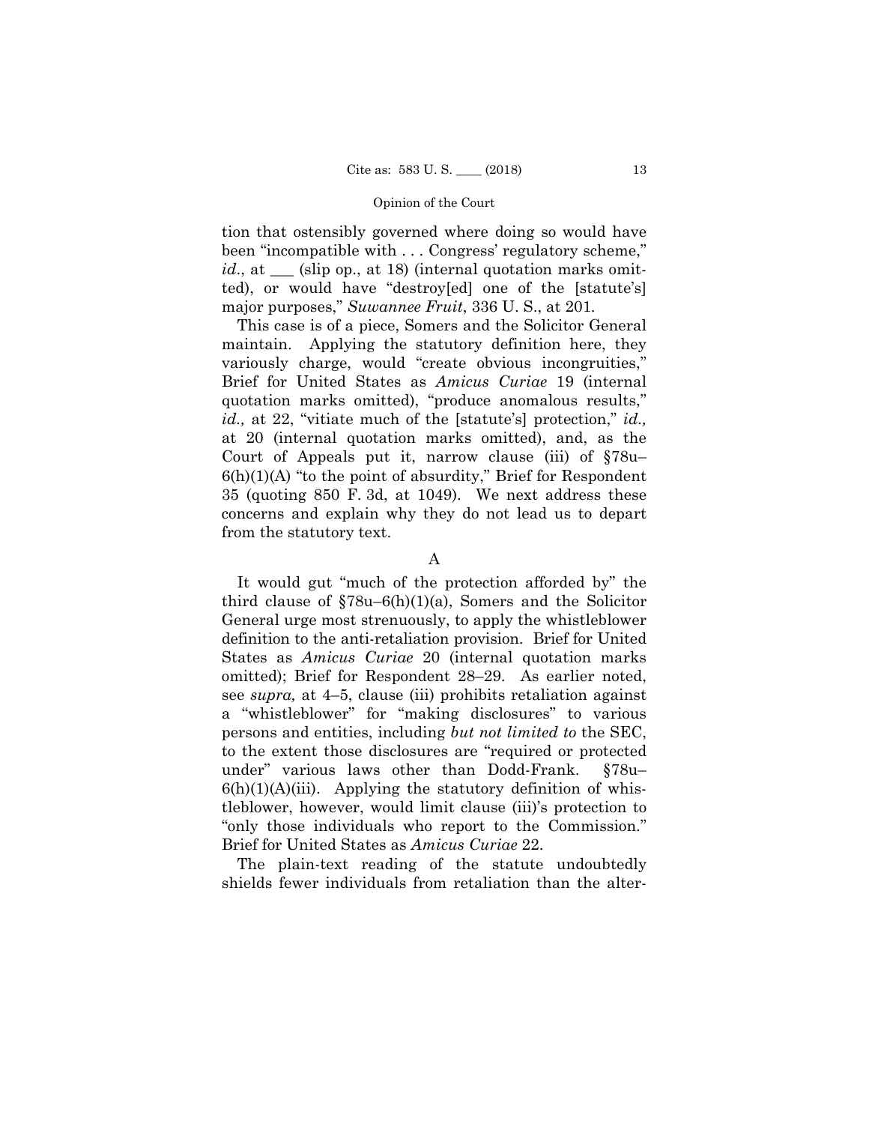tion that ostensibly governed where doing so would have been "incompatible with . . . Congress' regulatory scheme," *id.*, at <u>section</u> (slip op., at 18) (internal quotation marks omitted), or would have "destroy[ed] one of the [statute's] major purposes," *Suwannee Fruit*, 336 U. S., at 201*.* 

This case is of a piece, Somers and the Solicitor General maintain. Applying the statutory definition here, they variously charge, would "create obvious incongruities," Brief for United States as *Amicus Curiae* 19 (internal quotation marks omitted), "produce anomalous results," *id.,* at 22, "vitiate much of the [statute's] protection," *id.,*  at 20 (internal quotation marks omitted), and, as the Court of Appeals put it, narrow clause (iii) of §78u–  $6(h)(1)(A)$  "to the point of absurdity," Brief for Respondent 35 (quoting 850 F. 3d, at 1049). We next address these concerns and explain why they do not lead us to depart from the statutory text.

A

 definition to the anti-retaliation provision. Brief for United It would gut "much of the protection afforded by" the third clause of  $$78u-6(h)(1)(a)$ , Somers and the Solicitor General urge most strenuously, to apply the whistleblower States as *Amicus Curiae* 20 (internal quotation marks omitted); Brief for Respondent 28–29. As earlier noted, see *supra,* at 4–5, clause (iii) prohibits retaliation against a "whistleblower" for "making disclosures" to various persons and entities, including *but not limited to* the SEC, to the extent those disclosures are "required or protected under" various laws other than Dodd-Frank. §78u–  $6(h)(1)(A)(iii)$ . Applying the statutory definition of whistleblower, however, would limit clause (iii)'s protection to "only those individuals who report to the Commission." Brief for United States as *Amicus Curiae* 22.

The plain-text reading of the statute undoubtedly shields fewer individuals from retaliation than the alter-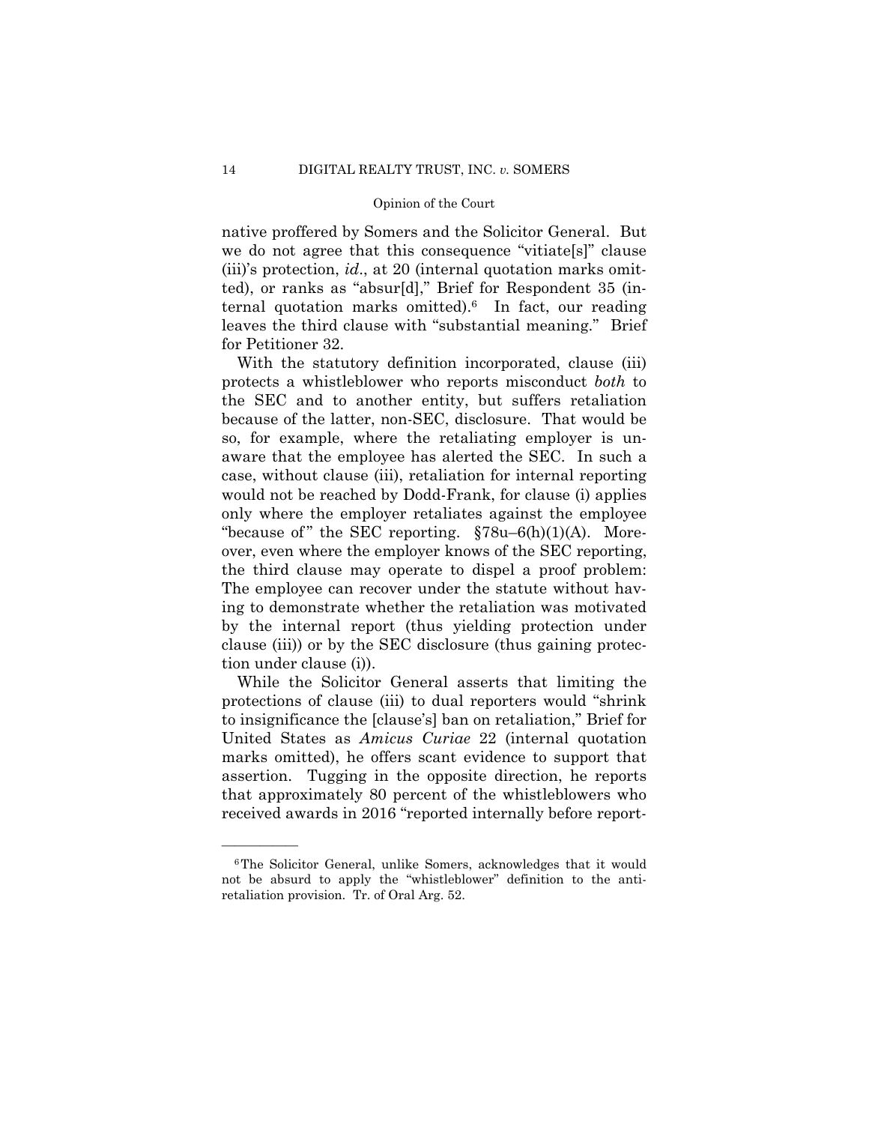native proffered by Somers and the Solicitor General. But we do not agree that this consequence "vitiate[s]" clause (iii)'s protection, *id*., at 20 (internal quotation marks omitted), or ranks as "absur[d]," Brief for Respondent 35 (internal quotation marks omitted).6 In fact, our reading leaves the third clause with "substantial meaning." Brief for Petitioner 32.

With the statutory definition incorporated, clause (iii) protects a whistleblower who reports misconduct *both* to the SEC and to another entity, but suffers retaliation because of the latter, non-SEC, disclosure. That would be so, for example, where the retaliating employer is unaware that the employee has alerted the SEC. In such a case, without clause (iii), retaliation for internal reporting would not be reached by Dodd-Frank, for clause (i) applies only where the employer retaliates against the employee "because of" the SEC reporting.  $\S78u-6(h)(1)(A)$ . Moreover, even where the employer knows of the SEC reporting, the third clause may operate to dispel a proof problem: The employee can recover under the statute without having to demonstrate whether the retaliation was motivated by the internal report (thus yielding protection under clause (iii)) or by the SEC disclosure (thus gaining protection under clause (i)).

While the Solicitor General asserts that limiting the protections of clause (iii) to dual reporters would "shrink to insignificance the [clause's] ban on retaliation," Brief for United States as *Amicus Curiae* 22 (internal quotation marks omitted), he offers scant evidence to support that assertion. Tugging in the opposite direction, he reports that approximately 80 percent of the whistleblowers who received awards in 2016 "reported internally before report-

<sup>6</sup>The Solicitor General, unlike Somers, acknowledges that it would not be absurd to apply the "whistleblower" definition to the antiretaliation provision. Tr. of Oral Arg. 52.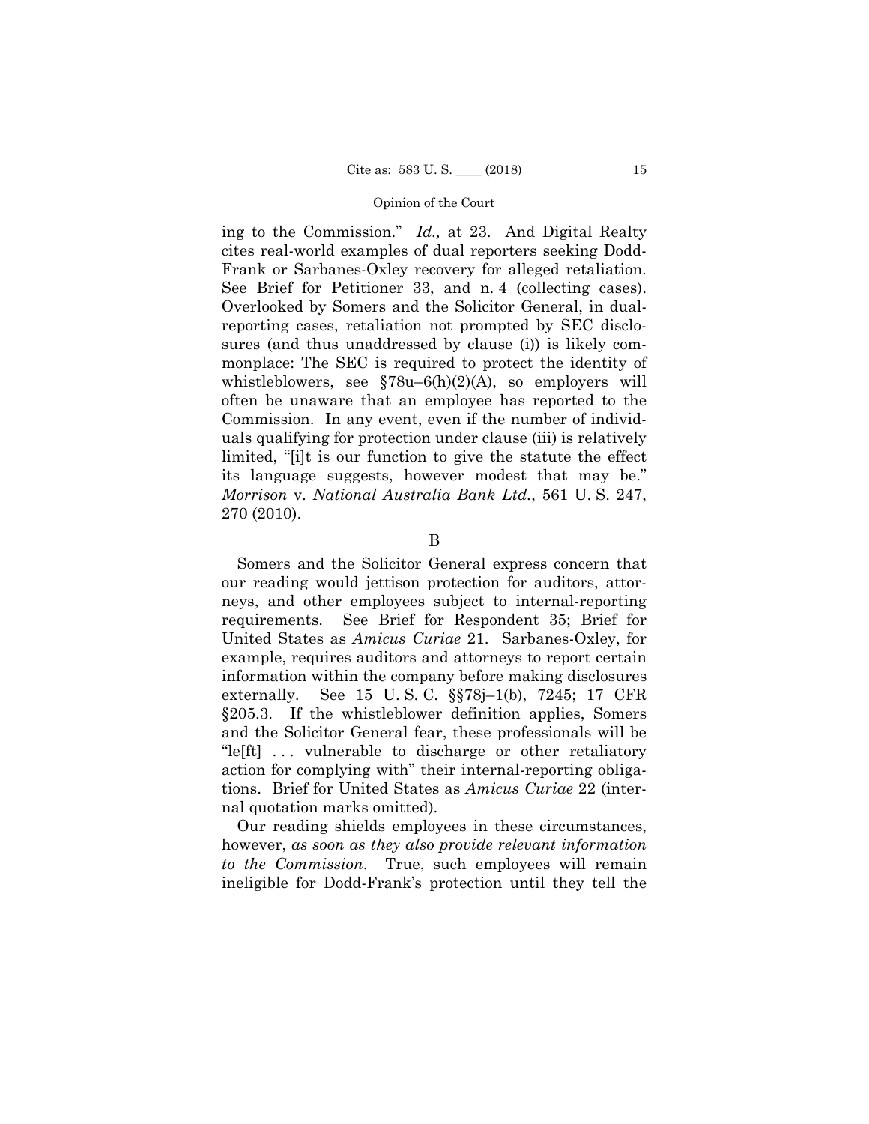ing to the Commission." *Id.,* at 23. And Digital Realty cites real-world examples of dual reporters seeking Dodd-Frank or Sarbanes-Oxley recovery for alleged retaliation. See Brief for Petitioner 33, and n. 4 (collecting cases). Overlooked by Somers and the Solicitor General, in dualreporting cases, retaliation not prompted by SEC disclosures (and thus unaddressed by clause (i)) is likely commonplace: The SEC is required to protect the identity of whistleblowers, see  $$78u-6(h)(2)(A)$ , so employers will often be unaware that an employee has reported to the Commission. In any event, even if the number of individuals qualifying for protection under clause (iii) is relatively limited, "[i]t is our function to give the statute the effect its language suggests, however modest that may be." *Morrison* v. *National Australia Bank Ltd.*, 561 U. S. 247, 270 (2010).

B

Somers and the Solicitor General express concern that our reading would jettison protection for auditors, attorneys, and other employees subject to internal-reporting requirements. See Brief for Respondent 35; Brief for United States as *Amicus Curiae* 21. Sarbanes-Oxley, for example, requires auditors and attorneys to report certain information within the company before making disclosures externally. See 15 U. S. C. §§78j–1(b), 7245; 17 CFR §205.3. If the whistleblower definition applies, Somers and the Solicitor General fear, these professionals will be "lefft]... vulnerable to discharge or other retaliatory" action for complying with" their internal-reporting obligations. Brief for United States as *Amicus Curiae* 22 (internal quotation marks omitted).

Our reading shields employees in these circumstances, however, *as soon as they also provide relevant information to the Commission*. True, such employees will remain ineligible for Dodd-Frank's protection until they tell the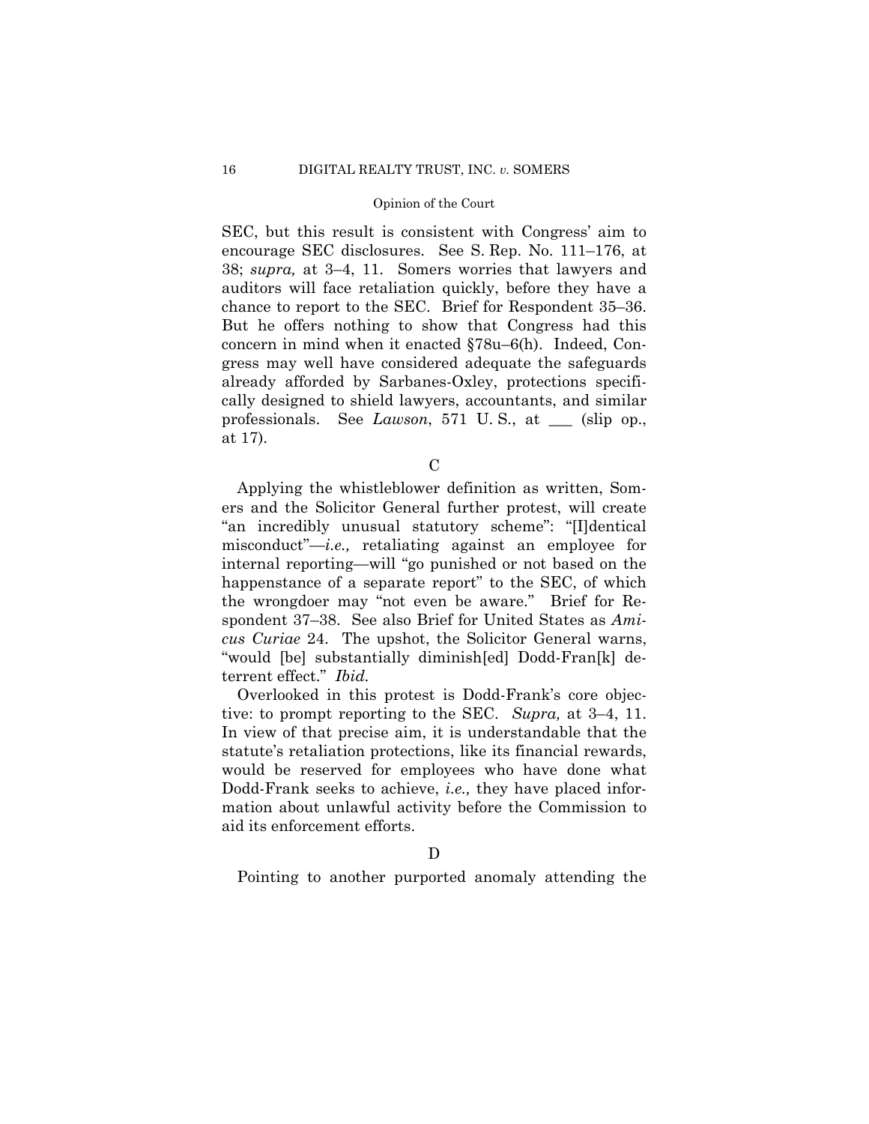SEC, but this result is consistent with Congress' aim to encourage SEC disclosures. See S. Rep. No. 111–176, at 38; *supra,* at 3–4, 11. Somers worries that lawyers and auditors will face retaliation quickly, before they have a chance to report to the SEC. Brief for Respondent 35–36. But he offers nothing to show that Congress had this concern in mind when it enacted §78u–6(h). Indeed, Congress may well have considered adequate the safeguards already afforded by Sarbanes-Oxley, protections specifically designed to shield lawyers, accountants, and similar professionals. See *Lawson*, 571 U. S., at \_\_\_ (slip op., at 17).

 $\overline{C}$ 

Applying the whistleblower definition as written, Somers and the Solicitor General further protest, will create "an incredibly unusual statutory scheme": "[I]dentical misconduct"—*i.e.,* retaliating against an employee for internal reporting—will "go punished or not based on the happenstance of a separate report" to the SEC, of which the wrongdoer may "not even be aware." Brief for Respondent 37–38. See also Brief for United States as *Amicus Curiae* 24. The upshot, the Solicitor General warns, "would [be] substantially diminish[ed] Dodd-Fran[k] deterrent effect." *Ibid.* 

Overlooked in this protest is Dodd-Frank's core objective: to prompt reporting to the SEC. *Supra,* at 3–4, 11. In view of that precise aim, it is understandable that the statute's retaliation protections, like its financial rewards, would be reserved for employees who have done what Dodd-Frank seeks to achieve, *i.e.,* they have placed information about unlawful activity before the Commission to aid its enforcement efforts.

Pointing to another purported anomaly attending the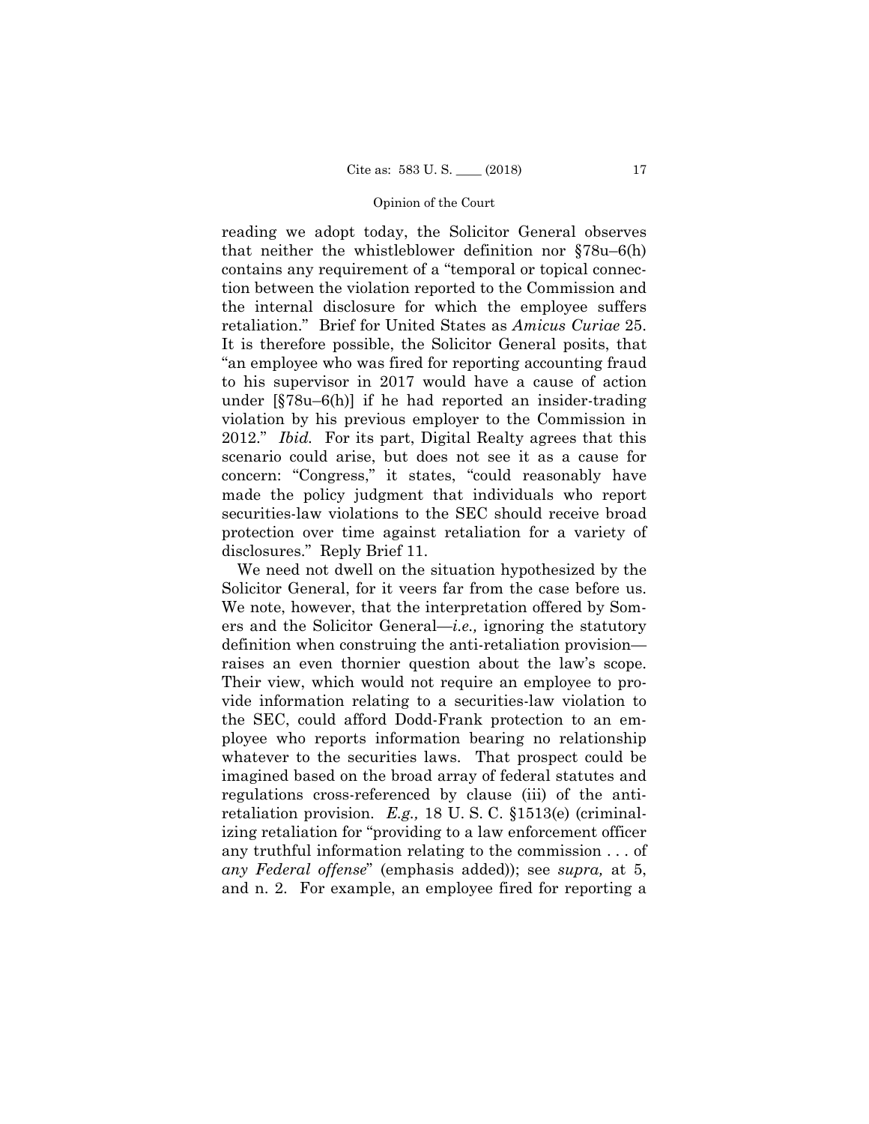reading we adopt today, the Solicitor General observes that neither the whistleblower definition nor §78u–6(h) contains any requirement of a "temporal or topical connection between the violation reported to the Commission and the internal disclosure for which the employee suffers retaliation." Brief for United States as *Amicus Curiae* 25. It is therefore possible, the Solicitor General posits, that "an employee who was fired for reporting accounting fraud to his supervisor in 2017 would have a cause of action under [§78u–6(h)] if he had reported an insider-trading violation by his previous employer to the Commission in 2012." *Ibid.* For its part, Digital Realty agrees that this scenario could arise, but does not see it as a cause for concern: "Congress," it states, "could reasonably have made the policy judgment that individuals who report securities-law violations to the SEC should receive broad protection over time against retaliation for a variety of disclosures." Reply Brief 11.

We need not dwell on the situation hypothesized by the Solicitor General, for it veers far from the case before us. We note, however, that the interpretation offered by Somers and the Solicitor General—*i.e.,* ignoring the statutory definition when construing the anti-retaliation provision raises an even thornier question about the law's scope. Their view, which would not require an employee to provide information relating to a securities-law violation to the SEC, could afford Dodd-Frank protection to an employee who reports information bearing no relationship whatever to the securities laws. That prospect could be imagined based on the broad array of federal statutes and regulations cross-referenced by clause (iii) of the antiretaliation provision. *E.g.,* 18 U. S. C. §1513(e) (criminalizing retaliation for "providing to a law enforcement officer any truthful information relating to the commission . . . of *any Federal offense*" (emphasis added)); see *supra,* at 5, and n. 2. For example, an employee fired for reporting a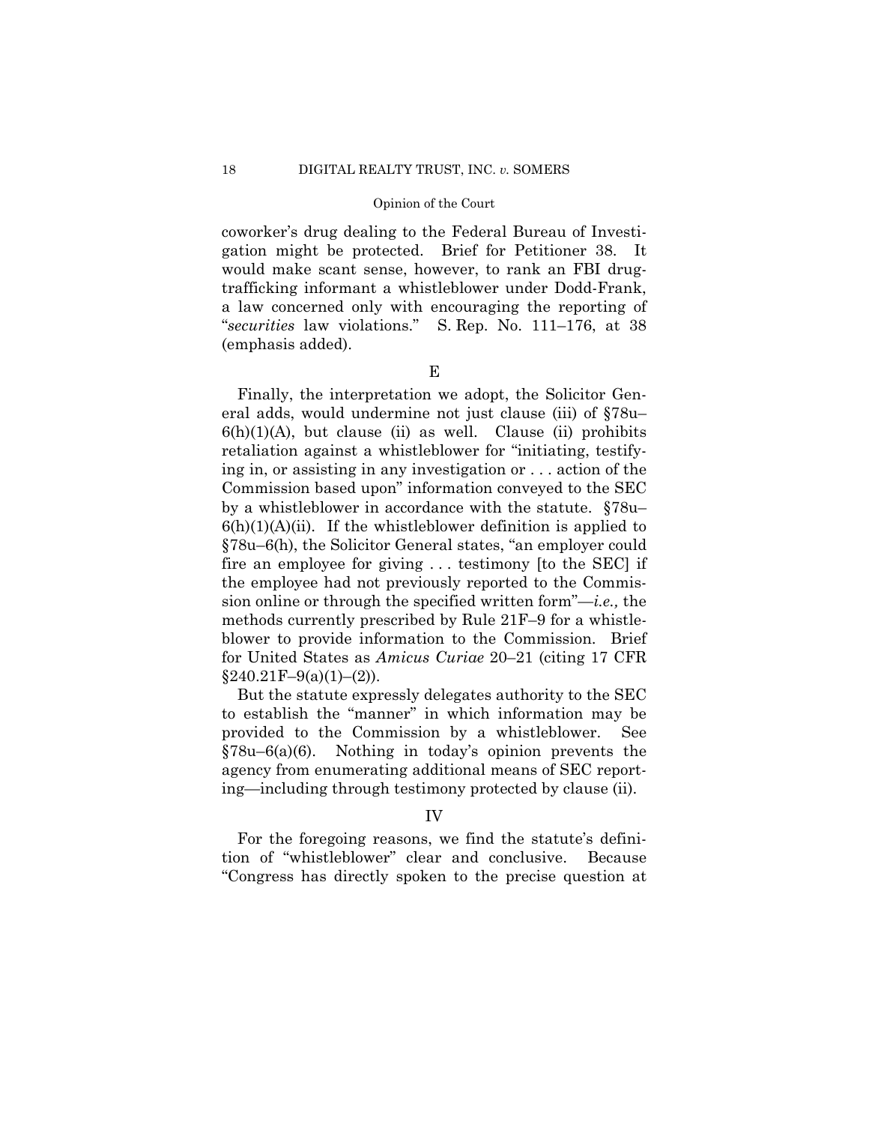coworker's drug dealing to the Federal Bureau of Investigation might be protected. Brief for Petitioner 38. It would make scant sense, however, to rank an FBI drugtrafficking informant a whistleblower under Dodd-Frank, a law concerned only with encouraging the reporting of "*securities* law violations." S. Rep. No. 111–176, at 38 (emphasis added).

E

Finally, the interpretation we adopt, the Solicitor General adds, would undermine not just clause (iii) of §78u–  $6(h)(1)(A)$ , but clause (ii) as well. Clause (ii) prohibits retaliation against a whistleblower for "initiating, testifying in, or assisting in any investigation or . . . action of the Commission based upon" information conveyed to the SEC by a whistleblower in accordance with the statute. §78u–  $6(h)(1)(A)(ii)$ . If the whistleblower definition is applied to §78u–6(h), the Solicitor General states, "an employer could fire an employee for giving . . . testimony [to the SEC] if the employee had not previously reported to the Commission online or through the specified written form"—*i.e.,* the methods currently prescribed by Rule 21F–9 for a whistleblower to provide information to the Commission. Brief for United States as *Amicus Curiae* 20–21 (citing 17 CFR  $§240.21F-9(a)(1)-(2)$ ).

But the statute expressly delegates authority to the SEC to establish the "manner" in which information may be provided to the Commission by a whistleblower. See  $\S78u-6(a)(6)$ . Nothing in today's opinion prevents the agency from enumerating additional means of SEC reporting—including through testimony protected by clause (ii).

### IV

For the foregoing reasons, we find the statute's definition of "whistleblower" clear and conclusive. Because "Congress has directly spoken to the precise question at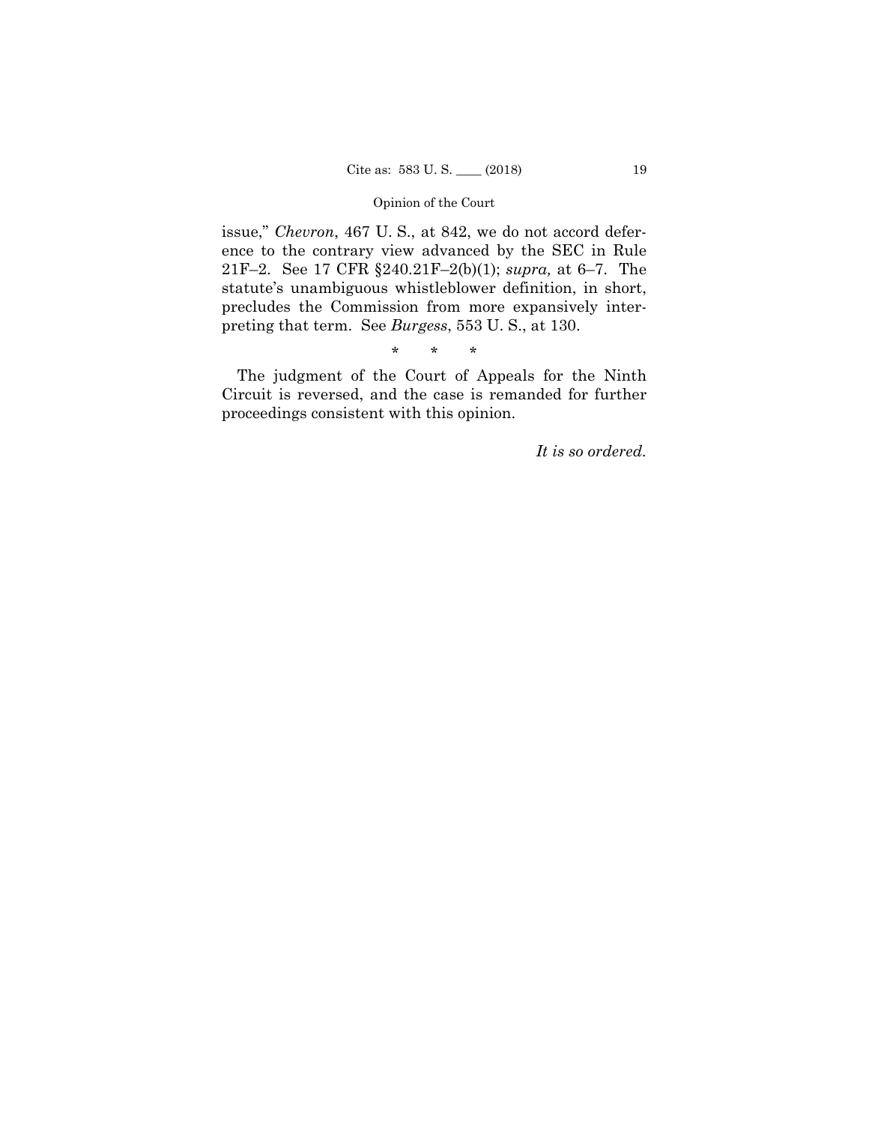issue," *Chevron*, 467 U. S., at 842, we do not accord deference to the contrary view advanced by the SEC in Rule 21F–2. See 17 CFR §240.21F–2(b)(1); *supra,* at 6–7. The statute's unambiguous whistleblower definition, in short, precludes the Commission from more expansively interpreting that term. See *Burgess*, 553 U. S., at 130.

\* \* \*

The judgment of the Court of Appeals for the Ninth Circuit is reversed, and the case is remanded for further proceedings consistent with this opinion.

*It is so ordered.*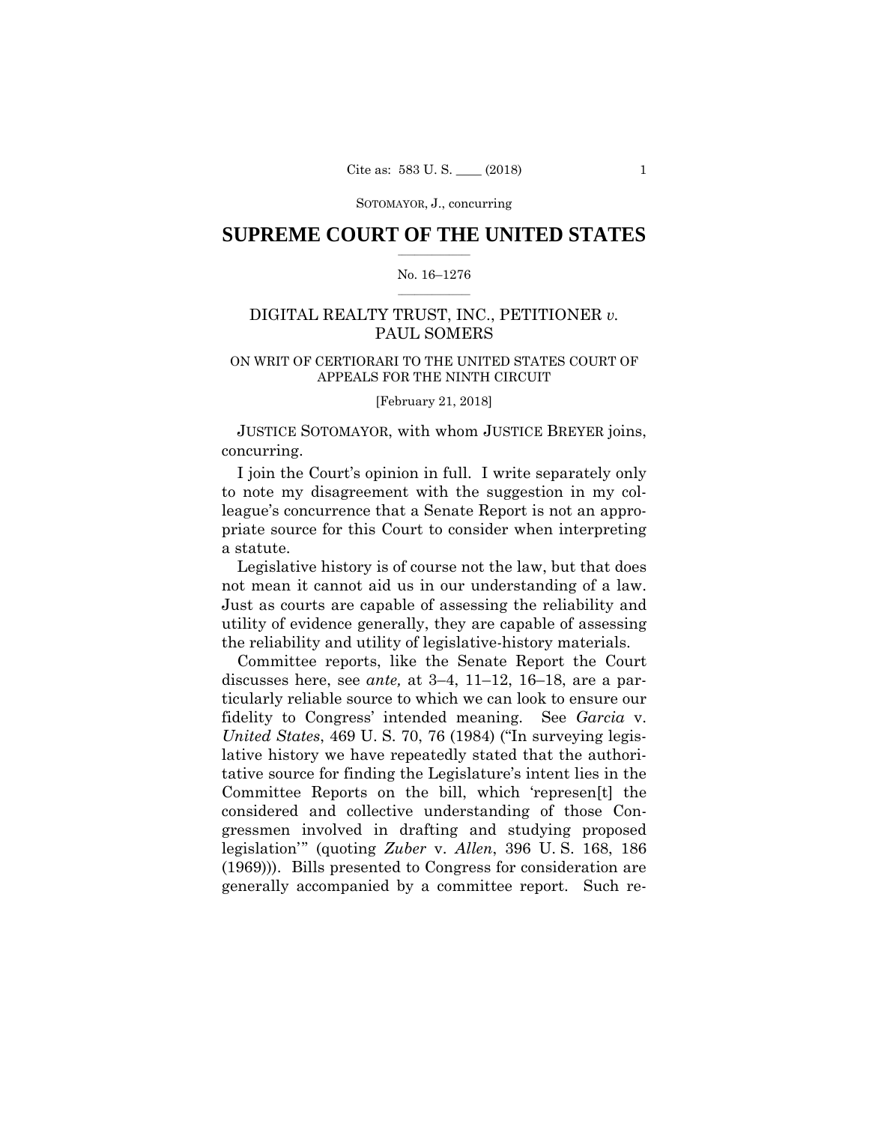SOTOMAYOR, J., concurring

### $\frac{1}{2}$  ,  $\frac{1}{2}$  ,  $\frac{1}{2}$  ,  $\frac{1}{2}$  ,  $\frac{1}{2}$  ,  $\frac{1}{2}$  ,  $\frac{1}{2}$ **SUPREME COURT OF THE UNITED STATES**

### $\frac{1}{2}$  ,  $\frac{1}{2}$  ,  $\frac{1}{2}$  ,  $\frac{1}{2}$  ,  $\frac{1}{2}$  ,  $\frac{1}{2}$ No. 16–1276

# DIGITAL REALTY TRUST, INC., PETITIONER *v.* PAUL SOMERS

# ON WRIT OF CERTIORARI TO THE UNITED STATES COURT OF APPEALS FOR THE NINTH CIRCUIT

[February 21, 2018]

 JUSTICE SOTOMAYOR, with whom JUSTICE BREYER joins, concurring.

I join the Court's opinion in full. I write separately only to note my disagreement with the suggestion in my colleague's concurrence that a Senate Report is not an appropriate source for this Court to consider when interpreting a statute.

Legislative history is of course not the law, but that does not mean it cannot aid us in our understanding of a law. Just as courts are capable of assessing the reliability and utility of evidence generally, they are capable of assessing the reliability and utility of legislative-history materials.

Committee reports, like the Senate Report the Court discusses here, see *ante,* at 3–4, 11–12, 16–18, are a particularly reliable source to which we can look to ensure our fidelity to Congress' intended meaning. See *Garcia* v. *United States*, 469 U. S. 70, 76 (1984) ("In surveying legislative history we have repeatedly stated that the authoritative source for finding the Legislature's intent lies in the Committee Reports on the bill, which 'represen[t] the considered and collective understanding of those Congressmen involved in drafting and studying proposed legislation'" (quoting *Zuber* v. *Allen*, 396 U. S. 168, 186 (1969))). Bills presented to Congress for consideration are generally accompanied by a committee report. Such re-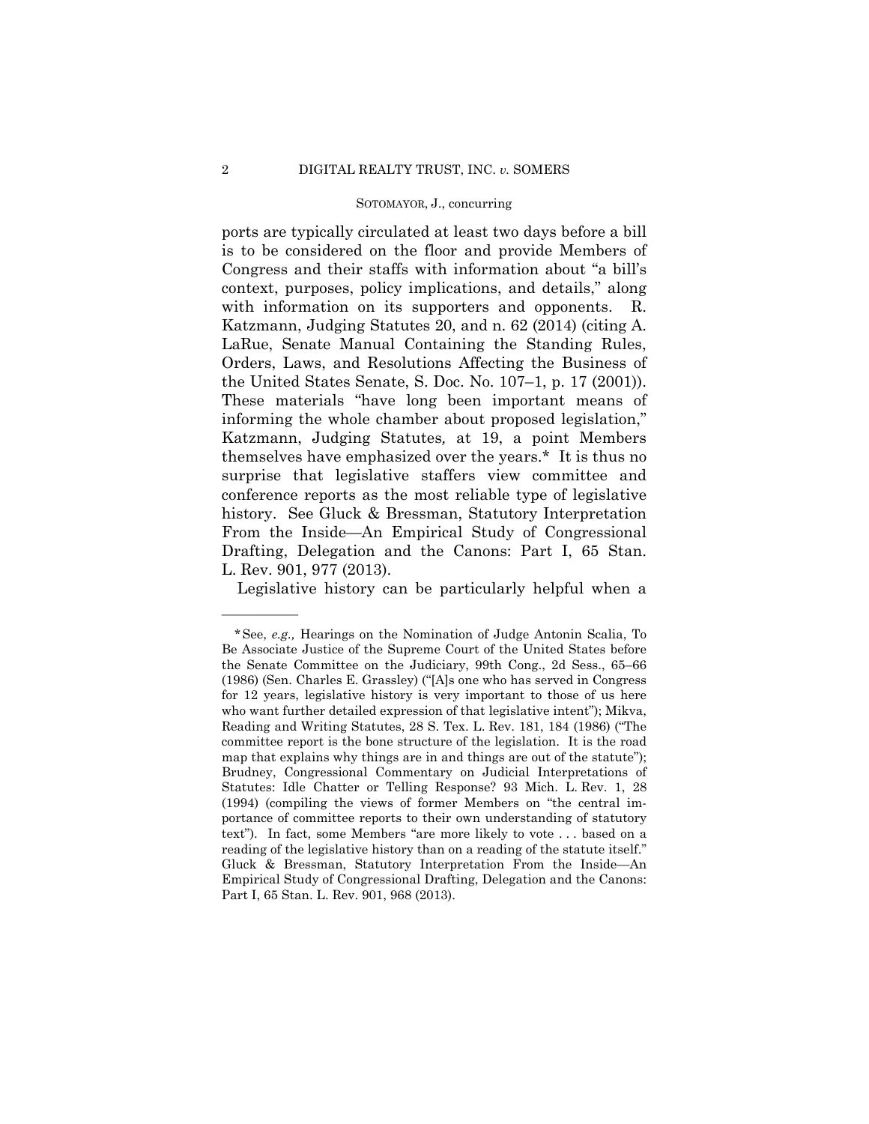### SOTOMAYOR, J., concurring

 Katzmann, Judging Statutes 20, and n. 62 (2014) (citing A. ports are typically circulated at least two days before a bill is to be considered on the floor and provide Members of Congress and their staffs with information about "a bill's context, purposes, policy implications, and details," along with information on its supporters and opponents. R. LaRue, Senate Manual Containing the Standing Rules, Orders, Laws, and Resolutions Affecting the Business of the United States Senate, S. Doc. No. 107–1, p. 17 (2001)). These materials "have long been important means of informing the whole chamber about proposed legislation," Katzmann, Judging Statutes*,* at 19, a point Members themselves have emphasized over the years.\* It is thus no surprise that legislative staffers view committee and conference reports as the most reliable type of legislative history. See Gluck & Bressman, Statutory Interpretation From the Inside—An Empirical Study of Congressional Drafting, Delegation and the Canons: Part I, 65 Stan. L. Rev. 901, 977 (2013).

Legislative history can be particularly helpful when a

<sup>\*</sup>See, *e.g.,* Hearings on the Nomination of Judge Antonin Scalia, To Be Associate Justice of the Supreme Court of the United States before the Senate Committee on the Judiciary, 99th Cong., 2d Sess., 65–66 (1986) (Sen. Charles E. Grassley) ("[A]s one who has served in Congress for 12 years, legislative history is very important to those of us here who want further detailed expression of that legislative intent"); Mikva, Reading and Writing Statutes, 28 S. Tex. L. Rev. 181, 184 (1986) ("The committee report is the bone structure of the legislation. It is the road map that explains why things are in and things are out of the statute"); Brudney, Congressional Commentary on Judicial Interpretations of Statutes: Idle Chatter or Telling Response? 93 Mich. L. Rev. 1, 28 (1994) (compiling the views of former Members on "the central importance of committee reports to their own understanding of statutory text"). In fact, some Members "are more likely to vote . . . based on a reading of the legislative history than on a reading of the statute itself." Gluck & Bressman, Statutory Interpretation From the Inside—An Empirical Study of Congressional Drafting, Delegation and the Canons: Part I, 65 Stan. L. Rev. 901, 968 (2013).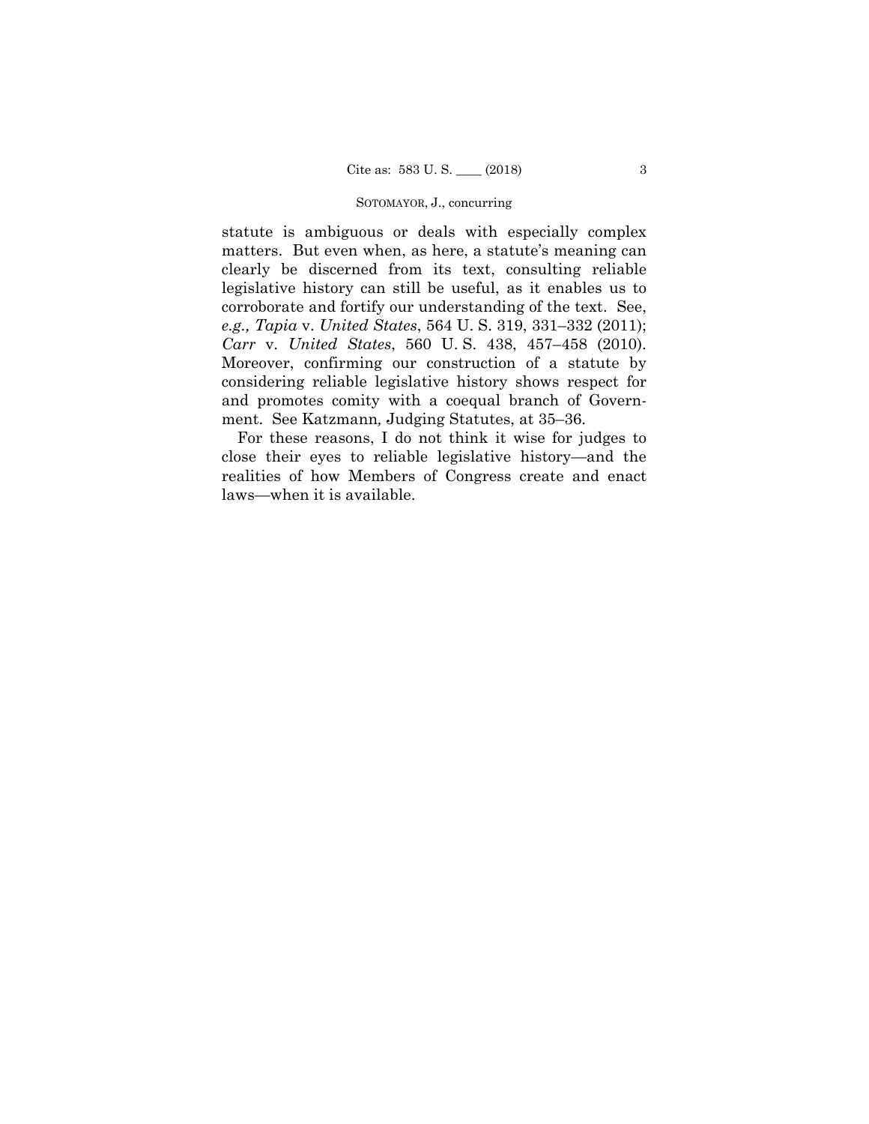### SOTOMAYOR, J., concurring

 legislative history can still be useful, as it enables us to *Carr* v. *United States*, 560 U. S. 438, 457–458 (2010). statute is ambiguous or deals with especially complex matters. But even when, as here, a statute's meaning can clearly be discerned from its text, consulting reliable corroborate and fortify our understanding of the text. See, *e.g., Tapia* v. *United States*, 564 U. S. 319, 331–332 (2011); Moreover, confirming our construction of a statute by considering reliable legislative history shows respect for and promotes comity with a coequal branch of Government. See Katzmann*,* Judging Statutes, at 35–36.

For these reasons, I do not think it wise for judges to close their eyes to reliable legislative history—and the realities of how Members of Congress create and enact laws—when it is available.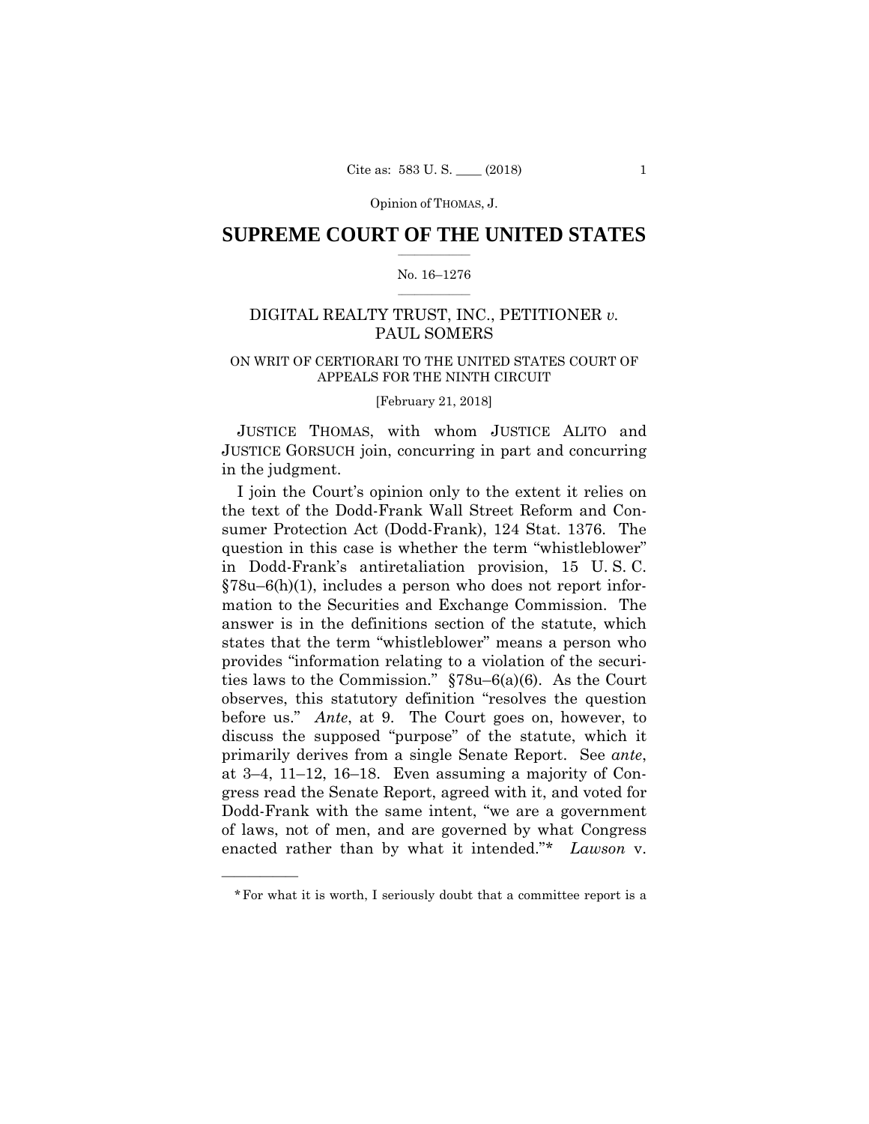Opinion of THOMAS, J.

### $\frac{1}{2}$  ,  $\frac{1}{2}$  ,  $\frac{1}{2}$  ,  $\frac{1}{2}$  ,  $\frac{1}{2}$  ,  $\frac{1}{2}$  ,  $\frac{1}{2}$ **SUPREME COURT OF THE UNITED STATES**

### $\frac{1}{2}$  ,  $\frac{1}{2}$  ,  $\frac{1}{2}$  ,  $\frac{1}{2}$  ,  $\frac{1}{2}$  ,  $\frac{1}{2}$ No. 16–1276

# DIGITAL REALTY TRUST, INC., PETITIONER *v.* PAUL SOMERS

# ON WRIT OF CERTIORARI TO THE UNITED STATES COURT OF APPEALS FOR THE NINTH CIRCUIT

[February 21, 2018]

 JUSTICE THOMAS, with whom JUSTICE ALITO and JUSTICE GORSUCH join, concurring in part and concurring in the judgment.

I join the Court's opinion only to the extent it relies on the text of the Dodd-Frank Wall Street Reform and Consumer Protection Act (Dodd-Frank), 124 Stat. 1376. The question in this case is whether the term "whistleblower" in Dodd-Frank's antiretaliation provision, 15 U. S. C. §78u–6(h)(1), includes a person who does not report information to the Securities and Exchange Commission. The answer is in the definitions section of the statute, which states that the term "whistleblower" means a person who provides "information relating to a violation of the securities laws to the Commission." §78u–6(a)(6). As the Court observes, this statutory definition "resolves the question before us." *Ante*, at 9. The Court goes on, however, to discuss the supposed "purpose" of the statute, which it primarily derives from a single Senate Report. See *ante*, at 3–4, 11–12, 16–18. Even assuming a majority of Congress read the Senate Report, agreed with it, and voted for Dodd-Frank with the same intent, "we are a government of laws, not of men, and are governed by what Congress enacted rather than by what it intended."\* *Lawson* v.

<sup>\*</sup>For what it is worth, I seriously doubt that a committee report is a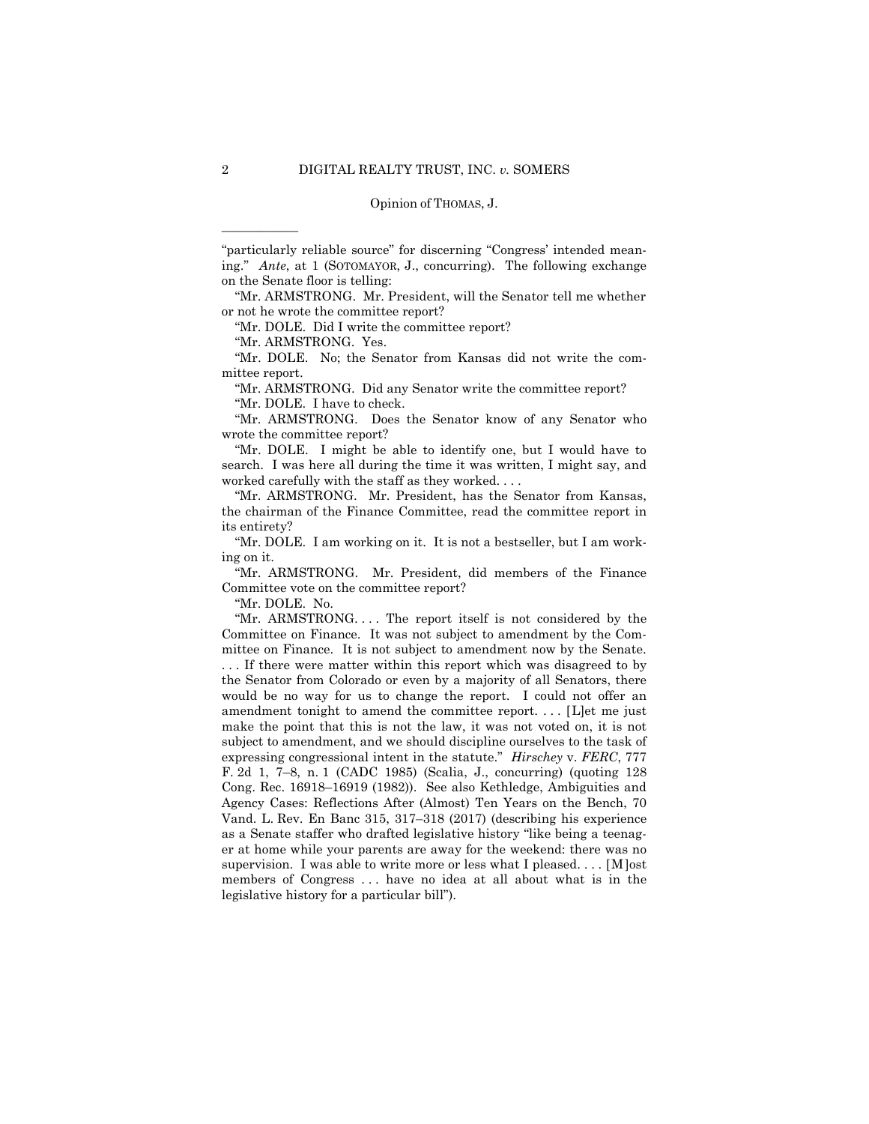#### Opinion of THOMAS, J.

"particularly reliable source" for discerning "Congress' intended meaning." *Ante*, at 1 (SOTOMAYOR, J., concurring). The following exchange on the Senate floor is telling:

 "Mr. ARMSTRONG. Mr. President, will the Senator tell me whether or not he wrote the committee report?

"Mr. DOLE. Did I write the committee report?

"Mr. ARMSTRONG. Yes.

"Mr. DOLE. No; the Senator from Kansas did not write the committee report.

"Mr. ARMSTRONG. Did any Senator write the committee report?

"Mr. DOLE. I have to check.

"Mr. ARMSTRONG. Does the Senator know of any Senator who wrote the committee report?

"Mr. DOLE. I might be able to identify one, but I would have to search. I was here all during the time it was written, I might say, and worked carefully with the staff as they worked. . . .

"Mr. ARMSTRONG. Mr. President, has the Senator from Kansas, the chairman of the Finance Committee, read the committee report in its entirety?

"Mr. DOLE. I am working on it. It is not a bestseller, but I am working on it.

"Mr. ARMSTRONG. Mr. President, did members of the Finance Committee vote on the committee report?

"Mr. DOLE. No.

"Mr. ARMSTRONG. . . . The report itself is not considered by the Committee on Finance. It was not subject to amendment by the Committee on Finance. It is not subject to amendment now by the Senate.

 supervision. I was able to write more or less what I pleased. . . . [M]ost . . . If there were matter within this report which was disagreed to by the Senator from Colorado or even by a majority of all Senators, there would be no way for us to change the report. I could not offer an amendment tonight to amend the committee report. . . . [L]et me just make the point that this is not the law, it was not voted on, it is not subject to amendment, and we should discipline ourselves to the task of expressing congressional intent in the statute." *Hirschey* v. *FERC*, 777 F. 2d 1, 7–8, n. 1 (CADC 1985) (Scalia, J., concurring) (quoting 128 Cong. Rec. 16918–16919 (1982)). See also Kethledge, Ambiguities and Agency Cases: Reflections After (Almost) Ten Years on the Bench, 70 Vand. L. Rev. En Banc 315, 317–318 (2017) (describing his experience as a Senate staffer who drafted legislative history "like being a teenager at home while your parents are away for the weekend: there was no members of Congress . . . have no idea at all about what is in the legislative history for a particular bill").